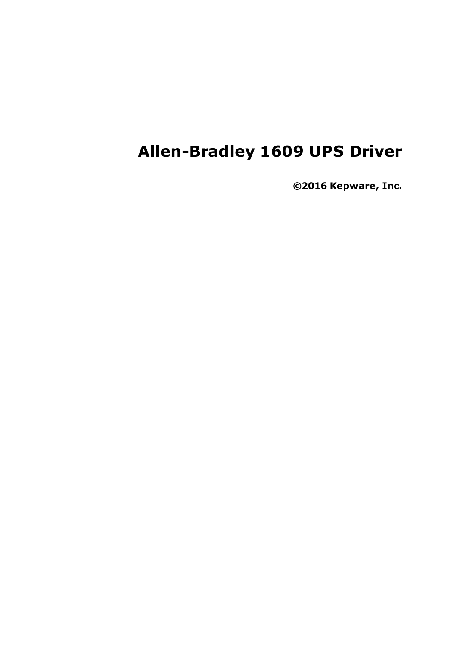# **Allen-Bradley 1609 UPS Driver**

**©2016 Kepware, Inc.**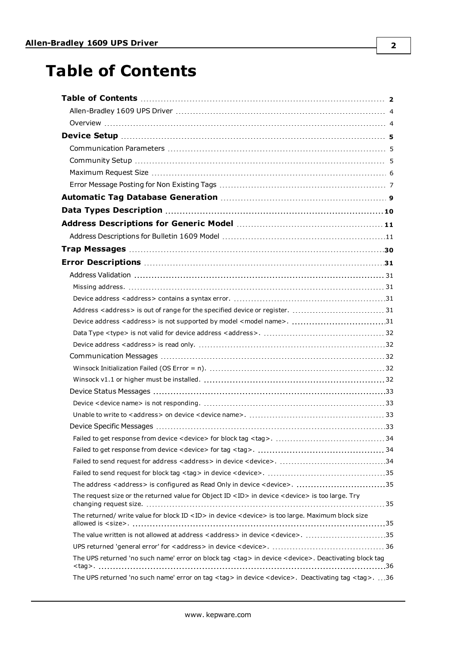# <span id="page-1-0"></span>**Table of Contents**

| The address <address> is configured as Read Only in device <device>. 35</device></address>                             |  |
|------------------------------------------------------------------------------------------------------------------------|--|
| The request size or the returned value for Object ID <id> in device <device> is too large. Try</device></id>           |  |
| The returned/ write value for block ID <id> in device <device> is too large. Maximum block size</device></id>          |  |
| The value written is not allowed at address <address> in device <device>. 35</device></address>                        |  |
|                                                                                                                        |  |
| The UPS returned 'no such name' error on block tag <tag> in device <device>. Deactivating block tag</device></tag>     |  |
| The UPS returned 'no such name' error on tag <tag> in device <device>. Deactivating tag <tag>. 36</tag></device></tag> |  |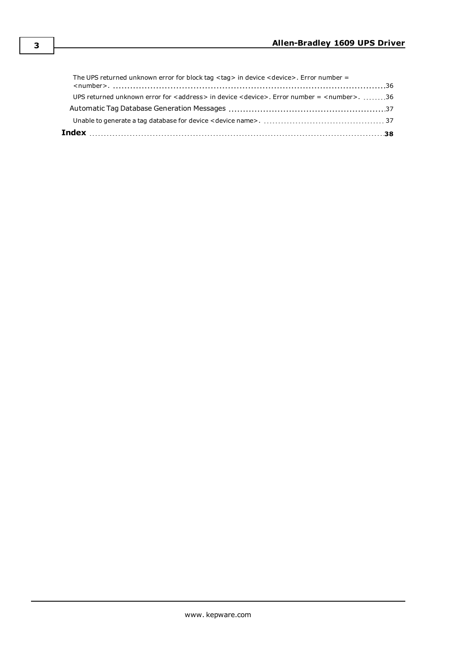| UPS returned unknown error for <address> in device <device>. Error number = <number>. 36</number></device></address> |  |
|----------------------------------------------------------------------------------------------------------------------|--|
|                                                                                                                      |  |
| The UPS returned unknown error for block tag <tag> in device <device>. Error number =</device></tag>                 |  |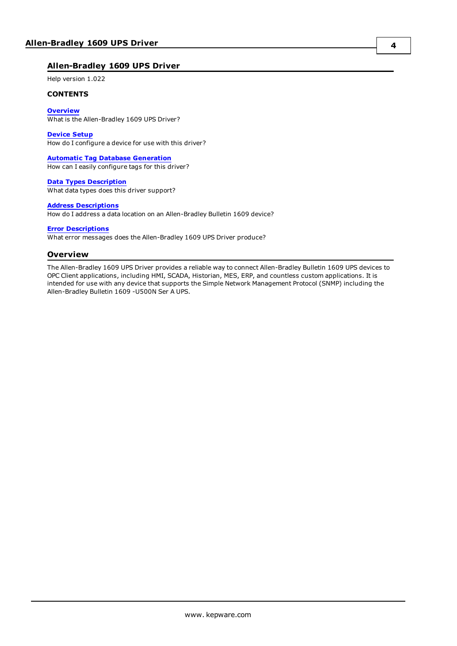## <span id="page-3-0"></span>**Allen-Bradley 1609 UPS Driver**

Help version 1.022

#### **CONTENTS**

**[Overview](#page-3-1)** What is the Allen-Bradley 1609 UPS Driver?

**[Device](#page-4-0) Setup** How do I configure a device for use with this driver?

**Automatic Tag Database [Generation](#page-8-0)** How can I easily configure tags for this driver?

**Data Types [Description](#page-9-0)** What data types does this driver support?

#### **Address [Descriptions](#page-10-0)**

How do I address a data location on an Allen-Bradley Bulletin 1609 device?

**Error [Descriptions](#page-30-0)**

<span id="page-3-1"></span>What error messages does the Allen-Bradley 1609 UPS Driver produce?

#### **Overview**

The Allen-Bradley 1609 UPS Driver provides a reliable way to connect Allen-Bradley Bulletin 1609 UPS devices to OPC Client applications, including HMI, SCADA, Historian, MES, ERP, and countless custom applications. It is intended for use with any device that supports the Simple Network Management Protocol (SNMP) including the Allen-Bradley Bulletin 1609 -U500N Ser A UPS.

**4**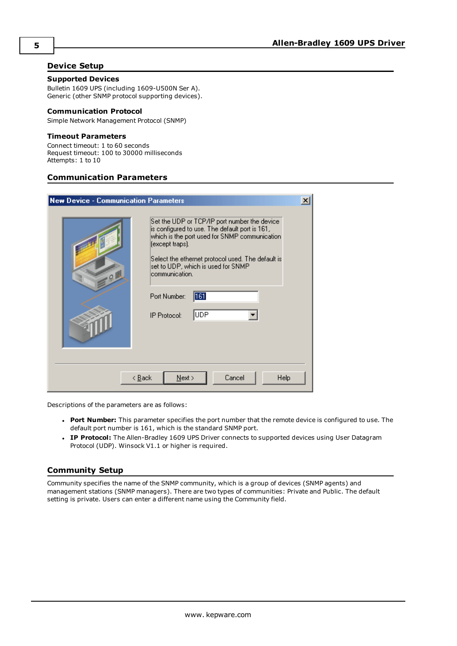## <span id="page-4-0"></span>**Device Setup**

#### **Supported Devices**

Bulletin 1609 UPS (including 1609-U500N Ser A). Generic (other SNMP protocol supporting devices).

#### <span id="page-4-3"></span>**Communication Protocol**

Simple Network Management Protocol (SNMP)

#### **Timeout Parameters**

Connect timeout: 1 to 60 seconds Request timeout: 100 to 30000 milliseconds Attempts: 1 to 10

## <span id="page-4-1"></span>**Communication Parameters**

| <b>New Device - Communication Parameters</b>                                                                                                                                                                                                                                                                                                    | $\boldsymbol{\mathsf{x}}$ |
|-------------------------------------------------------------------------------------------------------------------------------------------------------------------------------------------------------------------------------------------------------------------------------------------------------------------------------------------------|---------------------------|
| Set the UDP or TCP/IP port number the device.<br>is configured to use. The default port is 161,<br>which is the port used for SNMP communication.<br>(except traps).<br>Select the ethernet protocol used. The default is<br>set to UDP, which is used for SNMP<br>communication.<br>$-0$<br>161<br>Port Number:<br> UDP<br><b>IP Protocol:</b> |                           |
| Cancel<br>$N$ ext ><br>< <u>B</u> ack<br>Help                                                                                                                                                                                                                                                                                                   |                           |

Descriptions of the parameters are as follows:

- <sup>l</sup> **Port Number:** This parameter specifies the port number that the remote device is configured to use. The default port number is 161, which is the standard SNMP port.
- <sup>l</sup> **IP Protocol:** The Allen-Bradley 1609 UPS Driver connects to supported devices using User Datagram Protocol (UDP). Winsock V1.1 or higher is required.

## <span id="page-4-2"></span>**Community Setup**

Community specifies the name of the SNMP community, which is a group of devices (SNMP agents) and management stations (SNMP managers). There are two types of communities: Private and Public. The default setting is private. Users can enter a different name using the Community field.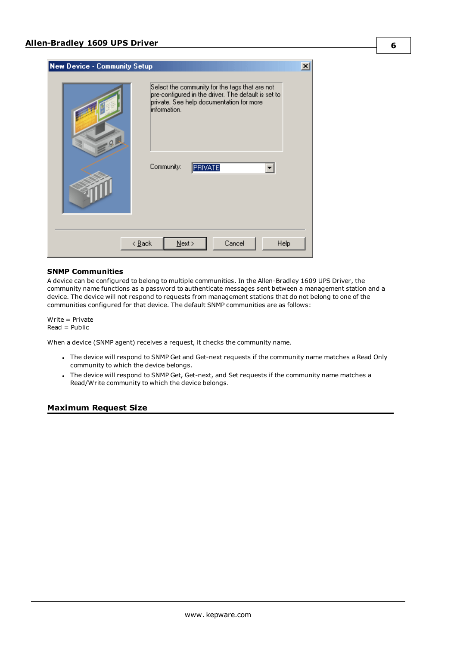| <b>New Device - Community Setup</b>                                                                                                                                                               | $\overline{\mathbf{x}}$ |
|---------------------------------------------------------------------------------------------------------------------------------------------------------------------------------------------------|-------------------------|
| Select the community for the tags that are not<br>pre-configured in the driver. The default is set to<br>private. See help documentation for more<br>linformation.<br>99<br>Community:<br>PRIVATE |                         |
| Cancel<br>$N$ ext ><br>$\leq$ $\underline{\mathsf{B}}$ ack                                                                                                                                        | Help                    |

#### **SNMP Communities**

A device can be configured to belong to multiple communities. In the Allen-Bradley 1609 UPS Driver, the community name functions as a password to authenticate messages sent between a management station and a device. The device will not respond to requests from management stations that do not belong to one of the communities configured for that device. The default SNMP communities are as follows:

Write = Private Read = Public

When a device (SNMP agent) receives a request, it checks the community name.

- <sup>l</sup> The device will respond to SNMP Get and Get-next requests if the community name matches a Read Only community to which the device belongs.
- <sup>l</sup> The device will respond to SNMP Get, Get-next, and Set requests if the community name matches a Read/Write community to which the device belongs.

### <span id="page-5-0"></span>**Maximum Request Size**

**6**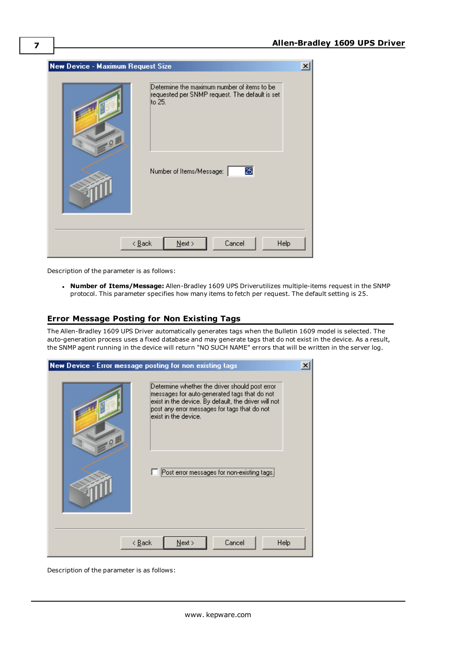| New Device - Maximum Request Size                                                                                                               | $\vert x \vert$ |  |  |
|-------------------------------------------------------------------------------------------------------------------------------------------------|-----------------|--|--|
| Determine the maximum number of items to be<br>requested per SNMP request. The default is set<br>lto 25.<br>Q<br>25<br>Number of Items/Message: |                 |  |  |
| Cancel<br>Help<br>$\leq$ $\underline{\mathsf{B}}$ ack<br>$N$ ext >                                                                              |                 |  |  |

Description of the parameter is as follows:

<sup>l</sup> **Number of Items/Message:** Allen-Bradley 1609 UPS Driverutilizes multiple-items request in the SNMP protocol. This parameter specifies how many items to fetch per request. The default setting is 25.

## <span id="page-6-0"></span>**Error Message Posting for Non Existing Tags**

The Allen-Bradley 1609 UPS Driver automatically generates tags when the Bulletin 1609 model is selected. The auto-generation process uses a fixed database and may generate tags that do not exist in the device. As a result, the SNMP agent running in the device will return "NO SUCH NAME" errors that will be written in the server log.

|                                               | New Device - Error message posting for non existing tags                                                                                                                                                                       | × |  |
|-----------------------------------------------|--------------------------------------------------------------------------------------------------------------------------------------------------------------------------------------------------------------------------------|---|--|
| 9 <sub>0</sub>                                | Determine whether the driver should post error<br>messages for auto-generated tags that do not<br>exist in the device. By default, the driver will not<br>post any error messages for tags that do not<br>exist in the device. |   |  |
|                                               | Post error messages for non-existing tags.                                                                                                                                                                                     |   |  |
| Cancel<br>$N$ ext ><br>Help<br>< <u>B</u> ack |                                                                                                                                                                                                                                |   |  |

Description of the parameter is as follows: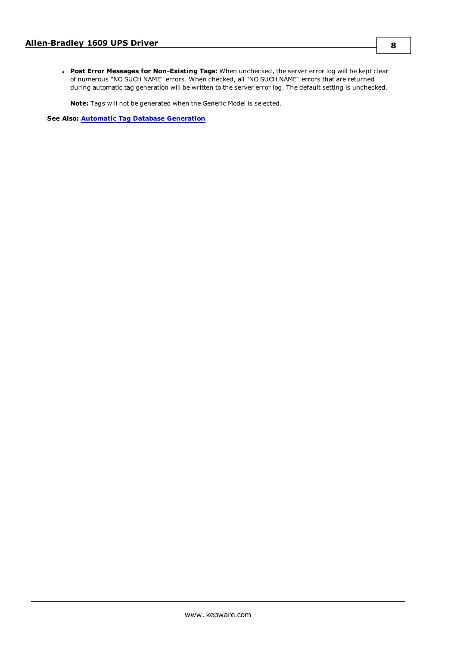<sup>l</sup> **Post Error Messages for Non-Existing Tags:** When unchecked, the server error log will be kept clear of numerous "NO SUCH NAME" errors. When checked, all "NO SUCH NAME" errors that are returned during automatic tag generation will be written to the server error log. The default setting is unchecked.

**Note:** Tags will not be generated when the Generic Model is selected.

**See Also: Automatic Tag Database [Generation](#page-8-0)**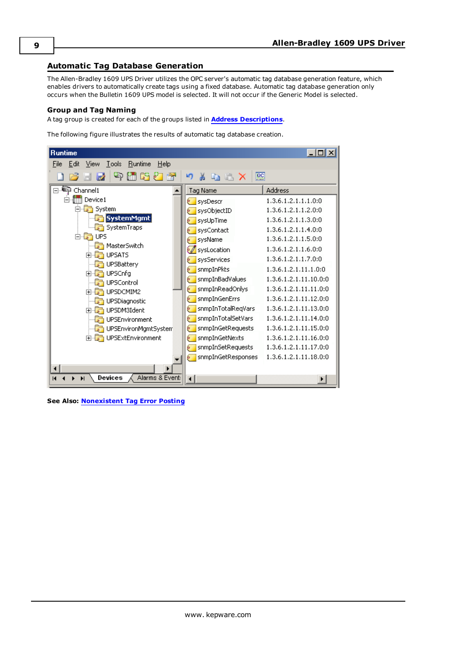## <span id="page-8-0"></span>**Automatic Tag Database Generation**

The Allen-Bradley 1609 UPS Driver utilizes the OPC server's automatic tag database generation feature, which enables drivers to automatically create tags using a fixed database. Automatic tag database generation only occurs when the Bulletin 1609 UPS model is selected. It will not occur if the Generic Model is selected.

#### **Group and Tag Naming**

A tag group is created for each of the groups listed in **Address [Descriptions](#page-10-0)**.

The following figure illustrates the results of automatic tag database creation.

| <b>Runtime</b>                                          |                                                  | $ \Box$ $\times$      |
|---------------------------------------------------------|--------------------------------------------------|-----------------------|
| Edit<br>View<br>Tools<br><b>Runtime</b><br>Help<br>File |                                                  |                       |
|                                                         | $\overline{\text{cc}}$<br>$A \times X$<br>и<br>ж |                       |
| Channel1<br>a                                           | <b>Tag Name</b>                                  | Address               |
| Device1                                                 | sysDescr<br>é.                                   | 1.3.6.1.2.1.1.1.0:0   |
| System<br>p.<br>$\sqrt{2}$                              | sysObjectID<br>é.                                | 1.3.6.1.2.1.1.2.0:0   |
| SystemMgmt                                              | sysUpTime<br>6.                                  | 1.3.6.1.2.1.1.3.0:0   |
| SystemTraps                                             | sysContact<br>b.                                 | 1.3.6.1.2.1.1.4.0:0   |
| <b>UPS</b><br>FI-5                                      | sysName<br>b.                                    | 1.3.6.1.2.1.1.5.0:0   |
| MasterSwitch<br><b>UPSATS</b>                           | 60<br>sysLocation                                | 1.3.6.1.2.1.1.6.0:0   |
| Fŀ<br><b>UPSBattery</b>                                 | sysServices<br>é.                                | 1.3.6.1.2.1.1.7.0:0   |
| <b>UPSCnfg</b><br>F                                     | snmpInPkts<br>é.                                 | 1.3.6.1.2.1.11.1.0:0  |
| <b>UPSControl</b>                                       | snmpInBadValues<br>é.                            | 1.3.6.1.2.1.11.10.0:0 |
| UPSDCMIM2<br>Ĥ                                          | snmpInReadOnlys<br>6                             | 1.3.6.1.2.1.11.11.0:0 |
| UPSDiagnostic                                           | snmpInGenErrs<br>6                               | 1.3.6.1.2.1.11.12.0:0 |
| UPSDM3Ident<br>F                                        | snmpInTotalRegVars<br>þ.                         | 1.3.6.1.2.1.11.13.0:0 |
| UPSEnvironment                                          | snmpInTotalSetVars<br>é.                         | 1.3.6.1.2.1.11.14.0:0 |
| UPSEnvironMgmtSystem                                    | snmpInGetRequests<br>é.                          | 1.3.6.1.2.1.11.15.0:0 |
| UPSExtEnvironment<br>$F - F$                            | snmpInGetNexts<br>é.                             | 1.3.6.1.2.1.11.16.0:0 |
|                                                         | snmpInSetRequests<br>6                           | 1.3.6.1.2.1.11.17.0:0 |
|                                                         | snmpInGetResponses                               | 1.3.6.1.2.1.11.18.0:0 |
|                                                         |                                                  |                       |
| Devices<br>Alarms & Event:<br>$\blacksquare$<br>Ы       | $\overline{\phantom{0}}$                         | ٠                     |

**See Also: [Nonexistent](#page-6-0) Tag Error Posting**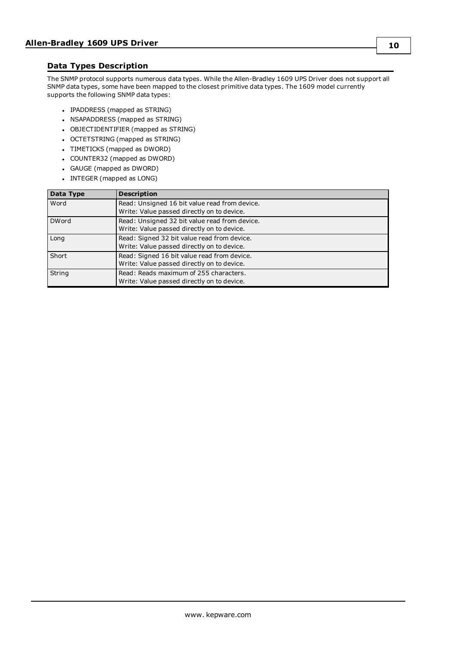## <span id="page-9-0"></span>**Data Types Description**

The SNMP protocol supports numerous data types. While the Allen-Bradley 1609 UPS Driver does not support all SNMP data types, some have been mapped to the closest primitive data types. The 1609 model currently supports the following SNMP data types:

- IPADDRESS (mapped as STRING)
- NSAPADDRESS (mapped as STRING)
- OBJECTIDENTIFIER (mapped as STRING)
- <span id="page-9-1"></span>• OCTETSTRING (mapped as STRING)
- TIMETICKS (mapped as DWORD)
- COUNTER32 (mapped as DWORD)
- <span id="page-9-2"></span>• GAUGE (mapped as DWORD)
- INTEGER (mapped as LONG)

| Data Type    | <b>Description</b>                            |
|--------------|-----------------------------------------------|
| Word         | Read: Unsigned 16 bit value read from device. |
|              | Write: Value passed directly on to device.    |
| <b>DWord</b> | Read: Unsigned 32 bit value read from device. |
|              | Write: Value passed directly on to device.    |
| Long         | Read: Signed 32 bit value read from device.   |
|              | Write: Value passed directly on to device.    |
| Short        | Read: Signed 16 bit value read from device.   |
|              | Write: Value passed directly on to device.    |
| String       | Read: Reads maximum of 255 characters.        |
|              | Write: Value passed directly on to device.    |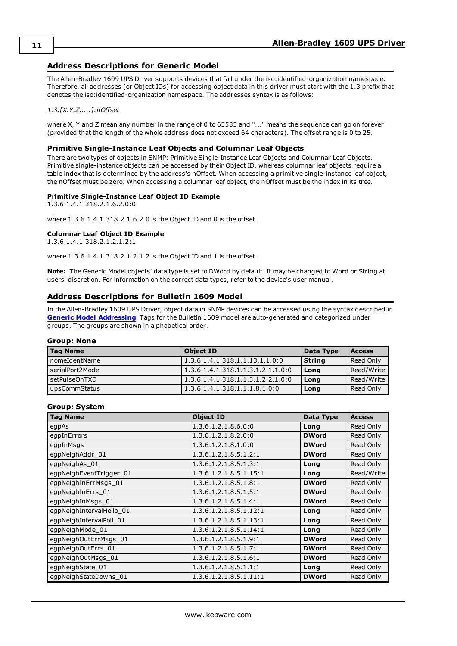## <span id="page-10-0"></span>**Address Descriptions for Generic Model**

The Allen-Bradley 1609 UPS Driver supports devices that fall under the iso:identified-organization namespace. Therefore, all addresses (or Object IDs) for accessing object data in this driver must start with the 1.3 prefix that denotes the iso:identified-organization namespace. The addresses syntax is as follows:

#### *1.3.[X.Y.Z.....]:nOffset*

where X, Y and Z mean any number in the range of 0 to 65535 and "..." means the sequence can go on forever (provided that the length of the whole address does not exceed 64 characters). The offset range is 0 to 25.

#### **Primitive Single-Instance Leaf Objects and Columnar Leaf Objects**

There are two types of objects in SNMP: Primitive Single-Instance Leaf Objects and Columnar Leaf Objects. Primitive single-instance objects can be accessed by their Object ID, whereas columnar leaf objects require a table index that is determined by the address's nOffset. When accessing a primitive single-instance leaf object, the nOffset must be zero. When accessing a columnar leaf object, the nOffset must be the index in its tree.

#### **Primitive Single-Instance Leaf Object ID Example**

1.3.6.1.4.1.318.2.1.6.2.0:0

where 1.3.6.1.4.1.318.2.1.6.2.0 is the Object ID and 0 is the offset.

#### **Columnar Leaf Object ID Example**

1.3.6.1.4.1.318.2.1.2.1.2:1

where 1.3.6.1.4.1.318.2.1.2.1.2 is the Object ID and 1 is the offset.

**Note:** The Generic Model objects' data type is set to DWord by default. It may be changed to Word or String at users' discretion. For information on the correct data types, refer to the device's user manual.

### <span id="page-10-1"></span>**Address Descriptions for Bulletin 1609 Model**

In the Allen-Bradley 1609 UPS Driver, object data in SNMP devices can be accessed using the syntax described in **Generic Model [Addressing](#page-10-0)**. Tags for the Bulletin 1609 model are auto-generated and categorized under groups. The groups are shown in alphabetical order.

#### **Group: None**

| Tag Name        | <b>Object ID</b>                  | Data Type | <b>Access</b> |
|-----------------|-----------------------------------|-----------|---------------|
| nomeIdentName   | 1.3.6.1.4.1.318.1.1.13.1.1.0:0    | String    | Read Only     |
| serialPort2Mode | 1.3.6.1.4.1.318.1.1.3.1.2.1.1.0:0 | Long      | l Read/Write  |
| setPulseOnTXD   | 1.3.6.1.4.1.318.1.1.3.1.2.2.1.0:0 | Long      | l Read/Write  |
| upsCommStatus   | 1.3.6.1.4.1.318.1.1.1.8.1.0:0     | Long      | Read Only     |

#### **Group: System**

| <b>Tag Name</b>          | <b>Object ID</b>       | Data Type    | <b>Access</b> |
|--------------------------|------------------------|--------------|---------------|
| egpAs                    | 1.3.6.1.2.1.8.6.0:0    | Long         | Read Only     |
| egpInErrors              | 1.3.6.1.2.1.8.2.0:0    | <b>DWord</b> | Read Only     |
| egpInMsgs                | 1.3.6.1.2.1.8.1.0:0    | <b>DWord</b> | Read Only     |
| egpNeighAddr 01          | 1.3.6.1.2.1.8.5.1.2:1  | <b>DWord</b> | Read Only     |
| egpNeighAs 01            | 1.3.6.1.2.1.8.5.1.3:1  | Long         | Read Only     |
| egpNeighEventTrigger 01  | 1.3.6.1.2.1.8.5.1.15:1 | Long         | Read/Write    |
| egpNeighInErrMsgs 01     | 1.3.6.1.2.1.8.5.1.8:1  | <b>DWord</b> | Read Only     |
| egpNeighInErrs_01        | 1.3.6.1.2.1.8.5.1.5:1  | <b>DWord</b> | Read Only     |
| egpNeighInMsgs_01        | 1.3.6.1.2.1.8.5.1.4:1  | <b>DWord</b> | Read Only     |
| egpNeighIntervalHello_01 | 1.3.6.1.2.1.8.5.1.12:1 | Long         | Read Only     |
| egpNeighIntervalPoll_01  | 1.3.6.1.2.1.8.5.1.13:1 | Long         | Read Only     |
| egpNeighMode_01          | 1.3.6.1.2.1.8.5.1.14:1 | Long         | Read Only     |
| egpNeighOutErrMsgs 01    | 1.3.6.1.2.1.8.5.1.9:1  | <b>DWord</b> | Read Only     |
| egpNeighOutErrs_01       | 1.3.6.1.2.1.8.5.1.7:1  | <b>DWord</b> | Read Only     |
| egpNeighOutMsgs 01       | 1.3.6.1.2.1.8.5.1.6:1  | <b>DWord</b> | Read Only     |
| egpNeighState 01         | 1.3.6.1.2.1.8.5.1.1:1  | Long         | Read Only     |
| egpNeighStateDowns_01    | 1.3.6.1.2.1.8.5.1.11:1 | <b>DWord</b> | Read Only     |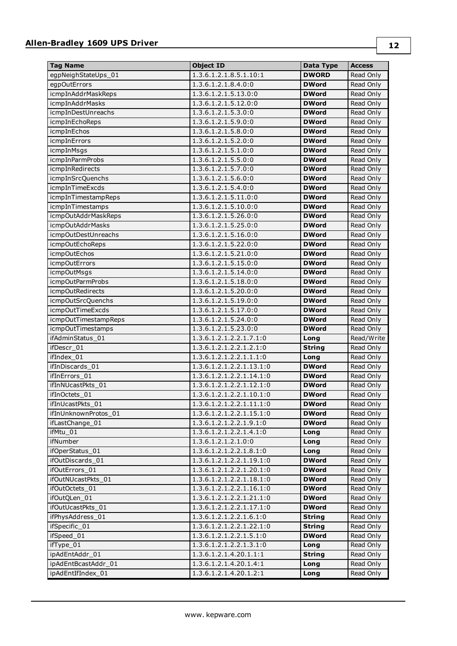## **Allen-Bradley 1609 UPS Driver**

| <b>Tag Name</b>        | <b>Object ID</b>                 | Data Type     | <b>Access</b> |
|------------------------|----------------------------------|---------------|---------------|
| egpNeighStateUps_01    | 1.3.6.1.2.1.8.5.1.10:1           | <b>DWORD</b>  | Read Only     |
| egpOutErrors           | 1.3.6.1.2.1.8.4.0:0              | <b>DWord</b>  | Read Only     |
| icmpInAddrMaskReps     | 1.3.6.1.2.1.5.13.0:0             | <b>DWord</b>  | Read Only     |
| <i>icmpInAddrMasks</i> | 1.3.6.1.2.1.5.12.0:0             | <b>DWord</b>  | Read Only     |
| icmpInDestUnreachs     | 1.3.6.1.2.1.5.3.0:0              | <b>DWord</b>  | Read Only     |
| icmpInEchoReps         | 1.3.6.1.2.1.5.9.0:0              | <b>DWord</b>  | Read Only     |
| icmpInEchos            | 1.3.6.1.2.1.5.8.0:0              | <b>DWord</b>  | Read Only     |
| <i>icmpInErrors</i>    | 1.3.6.1.2.1.5.2.0:0              | <b>DWord</b>  | Read Only     |
| icmpInMsgs             | 1.3.6.1.2.1.5.1.0:0              | <b>DWord</b>  | Read Only     |
| icmpInParmProbs        | 1.3.6.1.2.1.5.5.0:0              | <b>DWord</b>  | Read Only     |
| icmpInRedirects        | 1.3.6.1.2.1.5.7.0:0              | <b>DWord</b>  | Read Only     |
| icmpInSrcQuenchs       | $1.3.6.1.2.\overline{1.5.6.0.0}$ | <b>DWord</b>  | Read Only     |
| icmpInTimeExcds        | 1.3.6.1.2.1.5.4.0:0              | <b>DWord</b>  | Read Only     |
| icmpInTimestampReps    | 1.3.6.1.2.1.5.11.0:0             | <b>DWord</b>  | Read Only     |
| icmpInTimestamps       | 1.3.6.1.2.1.5.10.0:0             | <b>DWord</b>  | Read Only     |
| icmpOutAddrMaskReps    | 1.3.6.1.2.1.5.26.0:0             | <b>DWord</b>  | Read Only     |
| icmpOutAddrMasks       | 1.3.6.1.2.1.5.25.0:0             | <b>DWord</b>  | Read Only     |
| icmpOutDestUnreachs    | 1.3.6.1.2.1.5.16.0:0             | <b>DWord</b>  | Read Only     |
| icmpOutEchoReps        | 1.3.6.1.2.1.5.22.0:0             | <b>DWord</b>  | Read Only     |
| <i>icmpOutEchos</i>    | 1.3.6.1.2.1.5.21.0:0             | <b>DWord</b>  | Read Only     |
| icmpOutErrors          | 1.3.6.1.2.1.5.15.0:0             | <b>DWord</b>  | Read Only     |
| icmpOutMsgs            | 1.3.6.1.2.1.5.14.0:0             | <b>DWord</b>  | Read Only     |
| icmpOutParmProbs       | 1.3.6.1.2.1.5.18.0:0             | <b>DWord</b>  | Read Only     |
| icmpOutRedirects       | 1.3.6.1.2.1.5.20.0:0             | <b>DWord</b>  | Read Only     |
| icmpOutSrcQuenchs      | 1.3.6.1.2.1.5.19.0:0             | <b>DWord</b>  | Read Only     |
| icmpOutTimeExcds       | 1.3.6.1.2.1.5.17.0:0             | <b>DWord</b>  | Read Only     |
| icmpOutTimestampReps   | 1.3.6.1.2.1.5.24.0:0             | <b>DWord</b>  | Read Only     |
| icmpOutTimestamps      | 1.3.6.1.2.1.5.23.0:0             | <b>DWord</b>  | Read Only     |
| ifAdminStatus 01       | 1.3.6.1.2.1.2.2.1.7.1:0          | Long          | Read/Write    |
| ifDescr_01             | 1.3.6.1.2.1.2.2.1.2.1:0          | <b>String</b> | Read Only     |
| ifIndex 01             | 1.3.6.1.2.1.2.2.1.1.1:0          | Long          | Read Only     |
| ifInDiscards 01        | 1.3.6.1.2.1.2.2.1.13.1:0         | <b>DWord</b>  | Read Only     |
| ifInErrors 01          | 1.3.6.1.2.1.2.2.1.14.1:0         | <b>DWord</b>  | Read Only     |
| ifInNUcastPkts 01      | 1.3.6.1.2.1.2.2.1.12.1:0         | <b>DWord</b>  | Read Only     |
| ifInOctets_01          | 1.3.6.1.2.1.2.2.1.10.1:0         | <b>DWord</b>  | Read Only     |
| ifInUcastPkts_01       | 1.3.6.1.2.1.2.2.1.11.1:0         | <b>DWord</b>  | Read Only     |
| ifInUnknownProtos 01   | 1.3.6.1.2.1.2.2.1.15.1:0         | DWord         | Read Only     |
| ifLastChange_01        | 1.3.6.1.2.1.2.2.1.9.1:0          | <b>DWord</b>  | Read Only     |
| ifMtu_01               | 1.3.6.1.2.1.2.2.1.4.1:0          | Long          | Read Only     |
| ifNumber               | 1.3.6.1.2.1.2.1.0:0              | Long          | Read Only     |
| ifOperStatus_01        | 1.3.6.1.2.1.2.2.1.8.1:0          | Long          | Read Only     |
| ifOutDiscards 01       | 1.3.6.1.2.1.2.2.1.19.1:0         | <b>DWord</b>  | Read Only     |
| ifOutErrors 01         | 1.3.6.1.2.1.2.2.1.20.1:0         | DWord         | Read Only     |
| ifOutNUcastPkts_01     | 1.3.6.1.2.1.2.2.1.18.1:0         | DWord         | Read Only     |
| ifOutOctets_01         | 1.3.6.1.2.1.2.2.1.16.1:0         | <b>DWord</b>  | Read Only     |
| ifOutQLen_01           | 1.3.6.1.2.1.2.2.1.21.1:0         | <b>DWord</b>  | Read Only     |
| ifOutUcastPkts_01      | 1.3.6.1.2.1.2.2.1.17.1:0         | <b>DWord</b>  | Read Only     |
| ifPhysAddress_01       | 1.3.6.1.2.1.2.2.1.6.1:0          | <b>String</b> | Read Only     |
| ifSpecific_01          | 1.3.6.1.2.1.2.2.1.22.1:0         | <b>String</b> | Read Only     |
| ifSpeed_01             | 1.3.6.1.2.1.2.2.1.5.1:0          | <b>DWord</b>  | Read Only     |
| ifType_01              | 1.3.6.1.2.1.2.2.1.3.1:0          | Long          | Read Only     |
| ipAdEntAddr_01         | 1.3.6.1.2.1.4.20.1.1:1           | <b>String</b> | Read Only     |
| ipAdEntBcastAddr_01    | 1.3.6.1.2.1.4.20.1.4:1           | Long          | Read Only     |
| ipAdEntIfIndex_01      | 1.3.6.1.2.1.4.20.1.2:1           | Long          | Read Only     |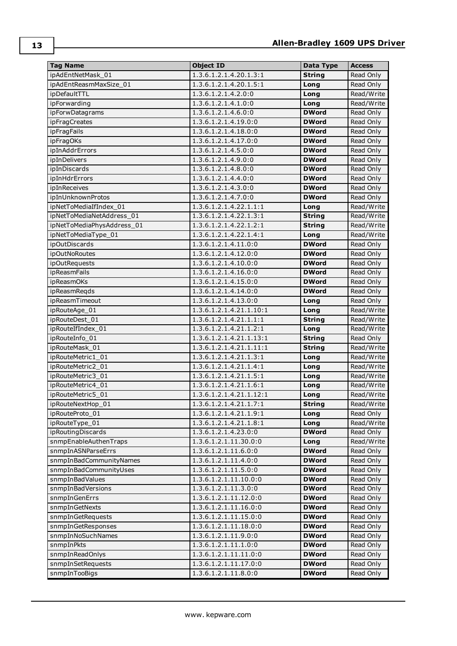| <b>Tag Name</b>            | <b>Object ID</b>                    | Data Type     | <b>Access</b> |
|----------------------------|-------------------------------------|---------------|---------------|
| ipAdEntNetMask 01          | 1.3.6.1.2.1.4.20.1.3:1              | <b>String</b> | Read Only     |
| ipAdEntReasmMaxSize 01     | 1.3.6.1.2.1.4.20.1.5:1              | Long          | Read Only     |
| ipDefaultTTL               | 1.3.6.1.2.1.4.2.0:0                 | Long          | Read/Write    |
| ipForwarding               | 1.3.6.1.2.1.4.1.0:0                 | Long          | Read/Write    |
| ipForwDatagrams            | 1.3.6.1.2.1.4.6.0:0                 | <b>DWord</b>  | Read Only     |
| ipFragCreates              | 1.3.6.1.2.1.4.19.0:0                | <b>DWord</b>  | Read Only     |
| <i>ipFragFails</i>         | 1.3.6.1.2.1.4.18.0:0                | <b>DWord</b>  | Read Only     |
| ipFragOKs                  | 1.3.6.1.2.1.4.17.0:0                | <b>DWord</b>  | Read Only     |
| ipInAddrErrors             | 1.3.6.1.2.1.4.5.0:0                 | <b>DWord</b>  | Read Only     |
| ipInDelivers               | 1.3.6.1.2.1.4.9.0:0                 | <b>DWord</b>  | Read Only     |
| ipInDiscards               | 1.3.6.1.2.1.4.8.0:0                 | <b>DWord</b>  | Read Only     |
| ipInHdrErrors              | 1.3.6.1.2.1.4.4.0:0                 | <b>DWord</b>  | Read Only     |
| ipInReceives               | 1.3.6.1.2.1.4.3.0:0                 | <b>DWord</b>  | Read Only     |
| ipInUnknownProtos          | 1.3.6.1.2.1.4.7.0:0                 | <b>DWord</b>  | Read Only     |
| ipNetToMediaIfIndex_01     | $1.3.6.1.2.1.4.22.1.\overline{1:1}$ | Long          | Read/Write    |
| ipNetToMediaNetAddress 01  | 1.3.6.1.2.1.4.22.1.3:1              | <b>String</b> | Read/Write    |
| ipNetToMediaPhysAddress_01 | 1.3.6.1.2.1.4.22.1.2:1              | <b>String</b> | Read/Write    |
| ipNetToMediaType_01        | 1.3.6.1.2.1.4.22.1.4:1              | Long          | Read/Write    |
| <i>i</i> pOutDiscards      | 1.3.6.1.2.1.4.11.0:0                | <b>DWord</b>  | Read Only     |
|                            | 1.3.6.1.2.1.4.12.0:0                |               | Read Only     |
| ipOutNoRoutes              |                                     | <b>DWord</b>  |               |
| <i>ipOutRequests</i>       | 1.3.6.1.2.1.4.10.0:0                | <b>DWord</b>  | Read Only     |
| <i>ipReasmFails</i>        | 1.3.6.1.2.1.4.16.0:0                | <b>DWord</b>  | Read Only     |
| ipReasmOKs                 | 1.3.6.1.2.1.4.15.0:0                | <b>DWord</b>  | Read Only     |
| ipReasmReqds               | 1.3.6.1.2.1.4.14.0:0                | <b>DWord</b>  | Read Only     |
| ipReasmTimeout             | 1.3.6.1.2.1.4.13.0:0                | Long          | Read Only     |
| ipRouteAge_01              | 1.3.6.1.2.1.4.21.1.10:1             | Long          | Read/Write    |
| ipRouteDest 01             | 1.3.6.1.2.1.4.21.1.1:1              | <b>String</b> | Read/Write    |
| ipRouteIfIndex 01          | 1.3.6.1.2.1.4.21.1.2:1              | Long          | Read/Write    |
| ipRouteInfo 01             | 1.3.6.1.2.1.4.21.1.13:1             | <b>String</b> | Read Only     |
| ipRouteMask 01             | 1.3.6.1.2.1.4.21.1.11:1             | <b>String</b> | Read/Write    |
| ipRouteMetric1 01          | 1.3.6.1.2.1.4.21.1.3:1              | Long          | Read/Write    |
| ipRouteMetric2 01          | 1.3.6.1.2.1.4.21.1.4:1              | Long          | Read/Write    |
| ipRouteMetric3 01          | 1.3.6.1.2.1.4.21.1.5:1              | Long          | Read/Write    |
| ipRouteMetric4 01          | 1.3.6.1.2.1.4.21.1.6:1              | Long          | Read/Write    |
| ipRouteMetric5 01          | 1.3.6.1.2.1.4.21.1.12:1             | Long          | Read/Write    |
| ipRouteNextHop_01          | 1.3.6.1.2.1.4.21.1.7:1              | <b>String</b> | Read/Write    |
| ipRouteProto 01            | 1.3.6.1.2.1.4.21.1.9:1              | Long          | Read Only     |
| ipRouteType_01             | 1.3.6.1.2.1.4.21.1.8:1              | Long          | Read/Write    |
| ipRoutingDiscards          | 1.3.6.1.2.1.4.23.0:0                | <b>DWord</b>  | Read Only     |
| snmpEnableAuthenTraps      | 1.3.6.1.2.1.11.30.0:0               | Long          | Read/Write    |
| snmpInASNParseErrs         | 1.3.6.1.2.1.11.6.0:0                | <b>DWord</b>  | Read Only     |
| snmpInBadCommunityNames    | 1.3.6.1.2.1.11.4.0:0                | <b>DWord</b>  | Read Only     |
| snmpInBadCommunityUses     | 1.3.6.1.2.1.11.5.0:0                | <b>DWord</b>  | Read Only     |
| snmpInBadValues            | 1.3.6.1.2.1.11.10.0:0               | <b>DWord</b>  | Read Only     |
| snmpInBadVersions          | 1.3.6.1.2.1.11.3.0:0                | <b>DWord</b>  | Read Only     |
| snmpInGenErrs              | 1.3.6.1.2.1.11.12.0:0               | <b>DWord</b>  | Read Only     |
| snmpInGetNexts             | 1.3.6.1.2.1.11.16.0:0               | <b>DWord</b>  | Read Only     |
| snmpInGetRequests          | 1.3.6.1.2.1.11.15.0:0               | <b>DWord</b>  | Read Only     |
| snmpInGetResponses         | 1.3.6.1.2.1.11.18.0:0               | <b>DWord</b>  | Read Only     |
| snmpInNoSuchNames          | 1.3.6.1.2.1.11.9.0:0                | <b>DWord</b>  | Read Only     |
| snmpInPkts                 | 1.3.6.1.2.1.11.1.0:0                | <b>DWord</b>  | Read Only     |
| snmpInReadOnlys            | 1.3.6.1.2.1.11.11.0:0               | <b>DWord</b>  | Read Only     |
| snmpInSetRequests          | 1.3.6.1.2.1.11.17.0:0               | <b>DWord</b>  | Read Only     |
| snmpInTooBigs              | 1.3.6.1.2.1.11.8.0:0                | <b>DWord</b>  | Read Only     |
|                            |                                     |               |               |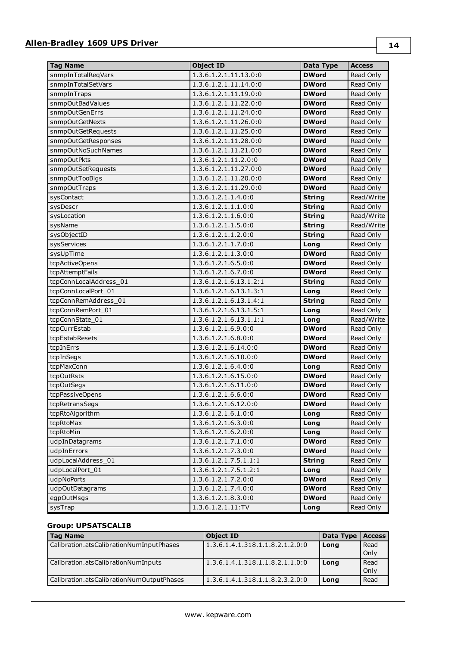## **Allen-Bradley 1609 UPS Driver**

| <b>Tag Name</b>        | <b>Object ID</b>       | Data Type     | <b>Access</b> |
|------------------------|------------------------|---------------|---------------|
| snmpInTotalReqVars     | 1.3.6.1.2.1.11.13.0:0  | <b>DWord</b>  | Read Only     |
| snmpInTotalSetVars     | 1.3.6.1.2.1.11.14.0:0  | <b>DWord</b>  | Read Only     |
| snmpInTraps            | 1.3.6.1.2.1.11.19.0:0  | <b>DWord</b>  | Read Only     |
| snmpOutBadValues       | 1.3.6.1.2.1.11.22.0:0  | <b>DWord</b>  | Read Only     |
| snmpOutGenErrs         | 1.3.6.1.2.1.11.24.0:0  | <b>DWord</b>  | Read Only     |
| snmpOutGetNexts        | 1.3.6.1.2.1.11.26.0:0  | <b>DWord</b>  | Read Only     |
| snmpOutGetRequests     | 1.3.6.1.2.1.11.25.0:0  | <b>DWord</b>  | Read Only     |
| snmpOutGetResponses    | 1.3.6.1.2.1.11.28.0:0  | <b>DWord</b>  | Read Only     |
| snmpOutNoSuchNames     | 1.3.6.1.2.1.11.21.0:0  | <b>DWord</b>  | Read Only     |
| snmpOutPkts            | 1.3.6.1.2.1.11.2.0:0   | <b>DWord</b>  | Read Only     |
| snmpOutSetRequests     | 1.3.6.1.2.1.11.27.0:0  | <b>DWord</b>  | Read Only     |
| snmpOutTooBigs         | 1.3.6.1.2.1.11.20.0:0  | <b>DWord</b>  | Read Only     |
| snmpOutTraps           | 1.3.6.1.2.1.11.29.0:0  | <b>DWord</b>  | Read Only     |
| sysContact             | 1.3.6.1.2.1.1.4.0:0    | <b>String</b> | Read/Write    |
| sysDescr               | 1.3.6.1.2.1.1.1.0:0    | <b>String</b> | Read Only     |
| sysLocation            | 1.3.6.1.2.1.1.6.0:0    | <b>String</b> | Read/Write    |
| sysName                | 1.3.6.1.2.1.1.5.0:0    | <b>String</b> | Read/Write    |
| sysObjectID            | 1.3.6.1.2.1.1.2.0:0    | <b>String</b> | Read Only     |
| sysServices            | 1.3.6.1.2.1.1.7.0:0    | Long          | Read Only     |
| sysUpTime              | 1.3.6.1.2.1.1.3.0:0    | <b>DWord</b>  | Read Only     |
| tcpActiveOpens         | 1.3.6.1.2.1.6.5.0:0    | <b>DWord</b>  | Read Only     |
| tcpAttemptFails        | 1.3.6.1.2.1.6.7.0:0    | <b>DWord</b>  | Read Only     |
| tcpConnLocalAddress_01 | 1.3.6.1.2.1.6.13.1.2:1 | <b>String</b> | Read Only     |
| tcpConnLocalPort 01    | 1.3.6.1.2.1.6.13.1.3:1 | Long          | Read Only     |
| tcpConnRemAddress 01   | 1.3.6.1.2.1.6.13.1.4:1 | <b>String</b> | Read Only     |
| tcpConnRemPort 01      | 1.3.6.1.2.1.6.13.1.5:1 | Long          | Read Only     |
| tcpConnState_01        | 1.3.6.1.2.1.6.13.1.1:1 | Long          | Read/Write    |
| tcpCurrEstab           | 1.3.6.1.2.1.6.9.0:0    | <b>DWord</b>  | Read Only     |
| tcpEstabResets         | 1.3.6.1.2.1.6.8.0:0    | <b>DWord</b>  | Read Only     |
| tcpInErrs              | 1.3.6.1.2.1.6.14.0:0   | <b>DWord</b>  | Read Only     |
| tcpInSegs              | 1.3.6.1.2.1.6.10.0:0   | <b>DWord</b>  | Read Only     |
| tcpMaxConn             | 1.3.6.1.2.1.6.4.0:0    | Long          | Read Only     |
| tcpOutRsts             | 1.3.6.1.2.1.6.15.0:0   | <b>DWord</b>  | Read Only     |
| tcpOutSegs             | 1.3.6.1.2.1.6.11.0:0   | <b>DWord</b>  | Read Only     |
| tcpPassiveOpens        | 1.3.6.1.2.1.6.6.0:0    | <b>DWord</b>  | Read Only     |
| tcpRetransSegs         | 1.3.6.1.2.1.6.12.0:0   | DWord         | Read Only     |
| tcpRtoAlgorithm        | 1.3.6.1.2.1.6.1.0:0    | Long          | Read Only     |
| tcpRtoMax              | 1.3.6.1.2.1.6.3.0:0    | Long          | Read Only     |
| tcpRtoMin              | 1.3.6.1.2.1.6.2.0:0    | Long          | Read Only     |
| udpInDatagrams         | 1.3.6.1.2.1.7.1.0:0    | <b>DWord</b>  | Read Only     |
| udpInErrors            | 1.3.6.1.2.1.7.3.0:0    | <b>DWord</b>  | Read Only     |
| udpLocalAddress_01     | 1.3.6.1.2.1.7.5.1.1:1  | <b>String</b> | Read Only     |
| udpLocalPort_01        | 1.3.6.1.2.1.7.5.1.2:1  | Long          | Read Only     |
| udpNoPorts             | 1.3.6.1.2.1.7.2.0:0    | <b>DWord</b>  | Read Only     |
| udpOutDatagrams        | 1.3.6.1.2.1.7.4.0:0    | <b>DWord</b>  | Read Only     |
| egpOutMsgs             | 1.3.6.1.2.1.8.3.0:0    | <b>DWord</b>  | Read Only     |
| sysTrap                | 1.3.6.1.2.1.11:TV      | Long          | Read Only     |

## **Group: UPSATSCALIB**

| <b>Tag Name</b>                           | <b>Object ID</b>                | Data Type | <b>Access</b> |
|-------------------------------------------|---------------------------------|-----------|---------------|
| Calibration.atsCalibrationNumInputPhases  | 1.3.6.1.4.1.318.1.1.8.2.1.2.0:0 | Long      | Read          |
|                                           |                                 |           | Only          |
| Calibration.atsCalibrationNumInputs       | 1.3.6.1.4.1.318.1.1.8.2.1.1.0:0 | Long      | Read          |
|                                           |                                 |           | Only          |
| Calibration.atsCalibrationNumOutputPhases | 1.3.6.1.4.1.318.1.1.8.2.3.2.0:0 | Long      | Read          |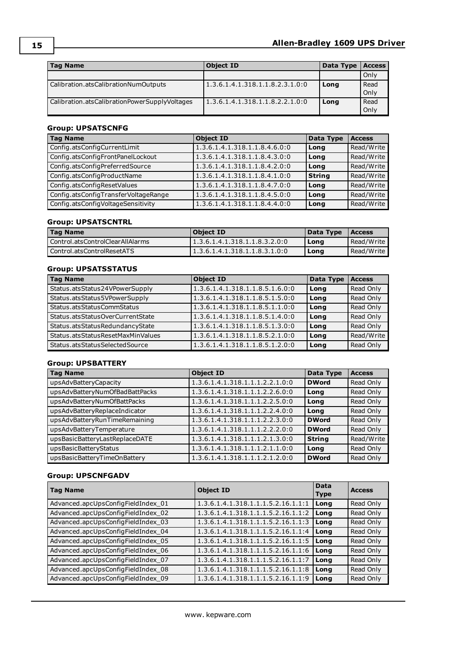| <b>Tag Name</b>                               | <b>Object ID</b>                | Data Type | <b>Access</b> |
|-----------------------------------------------|---------------------------------|-----------|---------------|
|                                               |                                 |           | Only          |
| Calibration.atsCalibrationNumOutputs          | 1.3.6.1.4.1.318.1.1.8.2.3.1.0:0 | Long      | Read<br>Only  |
| Calibration.atsCalibrationPowerSupplyVoltages | 1.3.6.1.4.1.318.1.1.8.2.2.1.0:0 | Long      | Read<br>Only  |

## **Group: UPSATSCNFG**

| <b>Tag Name</b>                      | <b>Object ID</b>              | Data Type     | <b>Access</b> |
|--------------------------------------|-------------------------------|---------------|---------------|
| Config.atsConfigCurrentLimit         | 1.3.6.1.4.1.318.1.1.8.4.6.0:0 | Long          | Read/Write    |
| Config.atsConfigFrontPanelLockout    | 1.3.6.1.4.1.318.1.1.8.4.3.0:0 | Long          | Read/Write    |
| Config.atsConfigPreferredSource      | 1.3.6.1.4.1.318.1.1.8.4.2.0:0 | Long          | Read/Write    |
| Config.atsConfigProductName          | 1.3.6.1.4.1.318.1.1.8.4.1.0:0 | <b>String</b> | Read/Write    |
| Config.atsConfigResetValues          | 1.3.6.1.4.1.318.1.1.8.4.7.0:0 | Long          | Read/Write    |
| Config.atsConfigTransferVoltageRange | 1.3.6.1.4.1.318.1.1.8.4.5.0:0 | Long          | Read/Write    |
| Config.atsConfigVoltageSensitivity   | 1.3.6.1.4.1.318.1.1.8.4.4.0:0 | Long          | Read/Write    |

### **Group: UPSATSCNTRL**

| <b>Tag Name</b>                    | <b>Object ID</b>              | Data Type | <b>Access</b> |
|------------------------------------|-------------------------------|-----------|---------------|
| l Control.atsControlClearAllAlarms | 1.3.6.1.4.1.318.1.1.8.3.2.0:0 | Long      | Read/Write    |
| Control.atsControlResetATS         |                               | Long      | Read/Write    |

## **Group: UPSATSSTATUS**

| <b>Tag Name</b>                   | <b>Object ID</b>                | Data Type | <b>Access</b> |
|-----------------------------------|---------------------------------|-----------|---------------|
| Status.atsStatus24VPowerSupply    | 1.3.6.1.4.1.318.1.1.8.5.1.6.0:0 | Long      | Read Only     |
| Status.atsStatus5VPowerSupply     | 1.3.6.1.4.1.318.1.1.8.5.1.5.0:0 | Long      | Read Only     |
| Status.atsStatusCommStatus        | 1.3.6.1.4.1.318.1.1.8.5.1.1.0:0 | Long      | Read Only     |
| Status.atsStatusOverCurrentState  | 1.3.6.1.4.1.318.1.1.8.5.1.4.0:0 | Long      | Read Only     |
| Status.atsStatusRedundancyState   | 1.3.6.1.4.1.318.1.1.8.5.1.3.0:0 | Long      | Read Only     |
| Status.atsStatusResetMaxMinValues | 1.3.6.1.4.1.318.1.1.8.5.2.1.0:0 | Long      | Read/Write    |
| Status.atsStatusSelectedSource    | 1.3.6.1.4.1.318.1.1.8.5.1.2.0:0 | Long      | Read Only     |

### **Group: UPSBATTERY**

| <b>Tag Name</b>                | <b>Object ID</b>                | Data Type     | <b>Access</b> |
|--------------------------------|---------------------------------|---------------|---------------|
| upsAdvBatteryCapacity          | 1.3.6.1.4.1.318.1.1.1.2.2.1.0:0 | <b>DWord</b>  | Read Only     |
| upsAdvBatteryNumOfBadBattPacks | 1.3.6.1.4.1.318.1.1.1.2.2.6.0:0 | Long          | Read Only     |
| upsAdvBatteryNumOfBattPacks    | 1.3.6.1.4.1.318.1.1.1.2.2.5.0:0 | Long          | Read Only     |
| upsAdvBatteryReplaceIndicator  | 1.3.6.1.4.1.318.1.1.1.2.2.4.0:0 | Long          | Read Only     |
| upsAdvBatteryRunTimeRemaining  | 1.3.6.1.4.1.318.1.1.1.2.2.3.0:0 | <b>DWord</b>  | Read Only     |
| upsAdvBatteryTemperature       | 1.3.6.1.4.1.318.1.1.1.2.2.2.0:0 | <b>DWord</b>  | Read Only     |
| upsBasicBatteryLastReplaceDATE | 1.3.6.1.4.1.318.1.1.1.2.1.3.0:0 | <b>String</b> | Read/Write    |
| upsBasicBatteryStatus          | 1.3.6.1.4.1.318.1.1.1.2.1.1.0:0 | Long          | Read Only     |
| upsBasicBatteryTimeOnBattery   | 1.3.6.1.4.1.318.1.1.1.2.1.2.0:0 | <b>DWord</b>  | Read Only     |

### **Group: UPSCNFGADV**

| <b>Tag Name</b>                    | <b>Object ID</b>                   | Data<br><b>Type</b> | <b>Access</b> |
|------------------------------------|------------------------------------|---------------------|---------------|
| Advanced.apcUpsConfigFieldIndex_01 | 1.3.6.1.4.1.318.1.1.1.5.2.16.1.1:1 | Long                | Read Only     |
| Advanced.apcUpsConfigFieldIndex_02 | 1.3.6.1.4.1.318.1.1.1.5.2.16.1.1:2 | Long                | Read Only     |
| Advanced.apcUpsConfigFieldIndex_03 | 1.3.6.1.4.1.318.1.1.1.5.2.16.1.1:3 | Long                | Read Only     |
| Advanced.apcUpsConfigFieldIndex_04 | 1.3.6.1.4.1.318.1.1.1.5.2.16.1.1:4 | Long                | Read Only     |
| Advanced.apcUpsConfigFieldIndex_05 | 1.3.6.1.4.1.318.1.1.1.5.2.16.1.1:5 | Long                | Read Only     |
| Advanced.apcUpsConfigFieldIndex_06 | 1.3.6.1.4.1.318.1.1.1.5.2.16.1.1:6 | Long                | Read Only     |
| Advanced.apcUpsConfigFieldIndex_07 | 1.3.6.1.4.1.318.1.1.1.5.2.16.1.1:7 | Long                | Read Only     |
| Advanced.apcUpsConfigFieldIndex_08 | 1.3.6.1.4.1.318.1.1.1.5.2.16.1.1:8 | Long                | Read Only     |
| Advanced.apcUpsConfigFieldIndex_09 | 1.3.6.1.4.1.318.1.1.1.5.2.16.1.1:9 | Long                | Read Only     |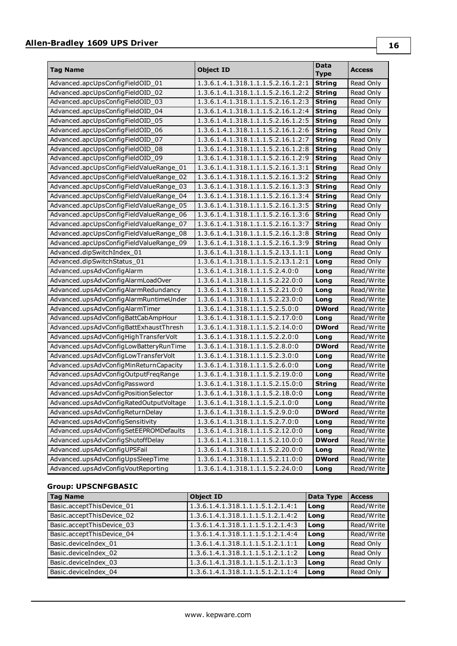## **Allen-Bradley 1609 UPS Driver**

| <b>Tag Name</b>                         | Object ID                          | Data          | <b>Access</b> |
|-----------------------------------------|------------------------------------|---------------|---------------|
|                                         |                                    | <b>Type</b>   |               |
| Advanced.apcUpsConfigFieldOID 01        | 1.3.6.1.4.1.318.1.1.1.5.2.16.1.2:1 | <b>String</b> | Read Only     |
| Advanced.apcUpsConfigFieldOID_02        | 1.3.6.1.4.1.318.1.1.1.5.2.16.1.2:2 | <b>String</b> | Read Only     |
| Advanced.apcUpsConfigFieldOID_03        | 1.3.6.1.4.1.318.1.1.1.5.2.16.1.2:3 | <b>String</b> | Read Only     |
| Advanced.apcUpsConfigFieldOID 04        | 1.3.6.1.4.1.318.1.1.1.5.2.16.1.2:4 | <b>String</b> | Read Only     |
| Advanced.apcUpsConfigFieldOID_05        | 1.3.6.1.4.1.318.1.1.1.5.2.16.1.2:5 | <b>String</b> | Read Only     |
| Advanced.apcUpsConfigFieldOID 06        | 1.3.6.1.4.1.318.1.1.1.5.2.16.1.2:6 | <b>String</b> | Read Only     |
| Advanced.apcUpsConfigFieldOID 07        | 1.3.6.1.4.1.318.1.1.1.5.2.16.1.2:7 | <b>String</b> | Read Only     |
| Advanced.apcUpsConfigFieldOID 08        | 1.3.6.1.4.1.318.1.1.1.5.2.16.1.2:8 | <b>String</b> | Read Only     |
| Advanced.apcUpsConfigFieldOID 09        | 1.3.6.1.4.1.318.1.1.1.5.2.16.1.2:9 | <b>String</b> | Read Only     |
| Advanced.apcUpsConfigFieldValueRange 01 | 1.3.6.1.4.1.318.1.1.1.5.2.16.1.3:1 | String        | Read Only     |
| Advanced.apcUpsConfigFieldValueRange_02 | 1.3.6.1.4.1.318.1.1.1.5.2.16.1.3:2 | <b>String</b> | Read Only     |
| Advanced.apcUpsConfigFieldValueRange_03 | 1.3.6.1.4.1.318.1.1.1.5.2.16.1.3:3 | <b>String</b> | Read Only     |
| Advanced.apcUpsConfigFieldValueRange_04 | 1.3.6.1.4.1.318.1.1.1.5.2.16.1.3:4 | <b>String</b> | Read Only     |
| Advanced.apcUpsConfigFieldValueRange_05 | 1.3.6.1.4.1.318.1.1.1.5.2.16.1.3:5 | <b>String</b> | Read Only     |
| Advanced.apcUpsConfigFieldValueRange_06 | 1.3.6.1.4.1.318.1.1.1.5.2.16.1.3:6 | <b>String</b> | Read Only     |
| Advanced.apcUpsConfigFieldValueRange_07 | 1.3.6.1.4.1.318.1.1.1.5.2.16.1.3:7 | String        | Read Only     |
| Advanced.apcUpsConfigFieldValueRange 08 | 1.3.6.1.4.1.318.1.1.1.5.2.16.1.3:8 | String        | Read Only     |
| Advanced.apcUpsConfigFieldValueRange_09 | 1.3.6.1.4.1.318.1.1.1.5.2.16.1.3:9 | String        | Read Only     |
| Advanced.dipSwitchIndex 01              | 1.3.6.1.4.1.318.1.1.1.5.2.13.1.1:1 | Long          | Read Only     |
| Advanced.dipSwitchStatus 01             | 1.3.6.1.4.1.318.1.1.1.5.2.13.1.2:1 | Long          | Read Only     |
| Advanced.upsAdvConfigAlarm              | 1.3.6.1.4.1.318.1.1.1.5.2.4.0:0    | Long          | Read/Write    |
| Advanced.upsAdvConfigAlarmLoadOver      | 1.3.6.1.4.1.318.1.1.1.5.2.22.0:0   | Long          | Read/Write    |
| Advanced.upsAdvConfigAlarmRedundancy    | 1.3.6.1.4.1.318.1.1.1.5.2.21.0:0   | Long          | Read/Write    |
| Advanced.upsAdvConfigAlarmRuntimeUnder  | 1.3.6.1.4.1.318.1.1.1.5.2.23.0:0   | Long          | Read/Write    |
| Advanced.upsAdvConfigAlarmTimer         | 1.3.6.1.4.1.318.1.1.1.5.2.5.0:0    | <b>DWord</b>  | Read/Write    |
| Advanced.upsAdvConfigBattCabAmpHour     | 1.3.6.1.4.1.318.1.1.1.5.2.17.0:0   | Long          | Read/Write    |
| Advanced.upsAdvConfigBattExhaustThresh  | 1.3.6.1.4.1.318.1.1.1.5.2.14.0:0   | <b>DWord</b>  | Read/Write    |
| Advanced.upsAdvConfigHighTransferVolt   | 1.3.6.1.4.1.318.1.1.1.5.2.2.0:0    | Long          | Read/Write    |
| Advanced.upsAdvConfigLowBatteryRunTime  | 1.3.6.1.4.1.318.1.1.1.5.2.8.0:0    | <b>DWord</b>  | Read/Write    |
| Advanced.upsAdvConfigLowTransferVolt    | 1.3.6.1.4.1.318.1.1.1.5.2.3.0:0    | Long          | Read/Write    |
| Advanced.upsAdvConfigMinReturnCapacity  | 1.3.6.1.4.1.318.1.1.1.5.2.6.0:0    | Long          | Read/Write    |
| Advanced.upsAdvConfigOutputFreqRange    | 1.3.6.1.4.1.318.1.1.1.5.2.19.0:0   | Long          | Read/Write    |
| Advanced.upsAdvConfigPassword           | 1.3.6.1.4.1.318.1.1.1.5.2.15.0:0   | <b>String</b> | Read/Write    |
| Advanced.upsAdvConfigPositionSelector   | 1.3.6.1.4.1.318.1.1.1.5.2.18.0:0   | Long          | Read/Write    |
| Advanced.upsAdvConfigRatedOutputVoltage | 1.3.6.1.4.1.318.1.1.1.5.2.1.0:0    | Long          | Read/Write    |
| Advanced.upsAdvConfigReturnDelay        | 1.3.6.1.4.1.318.1.1.1.5.2.9.0:0    | <b>DWord</b>  | Read/Write    |
| Advanced.upsAdvConfigSensitivity        | 1.3.6.1.4.1.318.1.1.1.5.2.7.0:0    | Long          | Read/Write    |
| Advanced.upsAdvConfigSetEEPROMDefaults  | 1.3.6.1.4.1.318.1.1.1.5.2.12.0:0   | Long          | Read/Write    |
| Advanced.upsAdvConfigShutoffDelay       | 1.3.6.1.4.1.318.1.1.1.5.2.10.0:0   | <b>DWord</b>  | Read/Write    |
| Advanced.upsAdvConfigUPSFail            | 1.3.6.1.4.1.318.1.1.1.5.2.20.0:0   | Long          | Read/Write    |
| Advanced.upsAdvConfigUpsSleepTime       | 1.3.6.1.4.1.318.1.1.1.5.2.11.0:0   | <b>DWord</b>  | Read/Write    |
| Advanced.upsAdvConfigVoutReporting      | 1.3.6.1.4.1.318.1.1.1.5.2.24.0:0   | Long          | Read/Write    |

## **Group: UPSCNFGBASIC**

| <b>Tag Name</b>           | <b>Object ID</b>                  | Data Type | <b>Access</b> |
|---------------------------|-----------------------------------|-----------|---------------|
| Basic.acceptThisDevice_01 | 1.3.6.1.4.1.318.1.1.1.5.1.2.1.4:1 | Long      | Read/Write    |
| Basic.acceptThisDevice 02 | 1.3.6.1.4.1.318.1.1.1.5.1.2.1.4:2 | Long      | Read/Write    |
| Basic.acceptThisDevice_03 | 1.3.6.1.4.1.318.1.1.1.5.1.2.1.4:3 | Long      | Read/Write    |
| Basic.acceptThisDevice 04 | 1.3.6.1.4.1.318.1.1.1.5.1.2.1.4:4 | Long      | Read/Write    |
| Basic.deviceIndex_01      | 1.3.6.1.4.1.318.1.1.1.5.1.2.1.1:1 | Long      | Read Only     |
| Basic.deviceIndex 02      | 1.3.6.1.4.1.318.1.1.1.5.1.2.1.1:2 | Long      | Read Only     |
| Basic.deviceIndex 03      | 1.3.6.1.4.1.318.1.1.1.5.1.2.1.1:3 | Long      | Read Only     |
| Basic.deviceIndex 04      | 1.3.6.1.4.1.318.1.1.1.5.1.2.1.1:4 | Long      | Read Only     |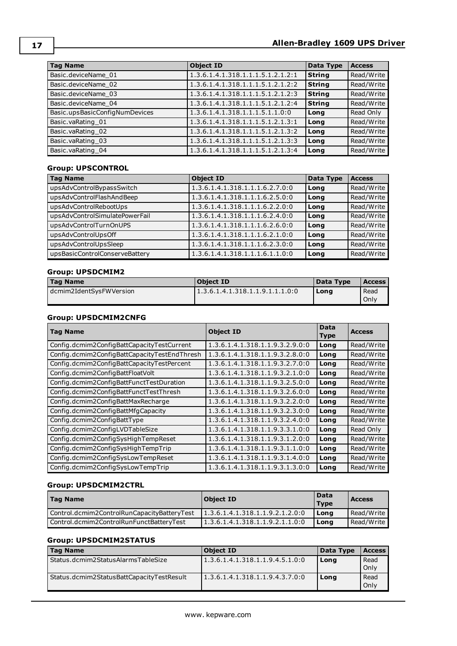| <b>Tag Name</b>                | <b>Object ID</b>                  | Data Type     | <b>Access</b> |
|--------------------------------|-----------------------------------|---------------|---------------|
| Basic.deviceName 01            | 1.3.6.1.4.1.318.1.1.1.5.1.2.1.2:1 | <b>String</b> | Read/Write    |
| Basic.deviceName 02            | 1.3.6.1.4.1.318.1.1.1.5.1.2.1.2:2 | <b>String</b> | Read/Write    |
| Basic.deviceName 03            | 1.3.6.1.4.1.318.1.1.1.5.1.2.1.2:3 | <b>String</b> | Read/Write    |
| Basic.deviceName 04            | 1.3.6.1.4.1.318.1.1.1.5.1.2.1.2:4 | <b>String</b> | Read/Write    |
| Basic.upsBasicConfigNumDevices | 1.3.6.1.4.1.318.1.1.1.5.1.1.0:0   | Long          | Read Only     |
| Basic.vaRating_01              | 1.3.6.1.4.1.318.1.1.1.5.1.2.1.3:1 | Long          | Read/Write    |
| Basic.vaRating_02              | 1.3.6.1.4.1.318.1.1.1.5.1.2.1.3:2 | Long          | Read/Write    |
| Basic.vaRating 03              | 1.3.6.1.4.1.318.1.1.1.5.1.2.1.3:3 | Long          | Read/Write    |
| Basic.vaRating 04              | 1.3.6.1.4.1.318.1.1.1.5.1.2.1.3:4 | Long          | Read/Write    |

### **Group: UPSCONTROL**

| <b>Tag Name</b>                | <b>Object ID</b>                | Data Type | <b>Access</b> |
|--------------------------------|---------------------------------|-----------|---------------|
| upsAdvControlBypassSwitch      | 1.3.6.1.4.1.318.1.1.1.6.2.7.0:0 | Long      | Read/Write    |
| upsAdvControlFlashAndBeep      | 1.3.6.1.4.1.318.1.1.1.6.2.5.0:0 | Long      | Read/Write    |
| upsAdvControlRebootUps         | 1.3.6.1.4.1.318.1.1.1.6.2.2.0:0 | Long      | Read/Write    |
| upsAdvControlSimulatePowerFail | 1.3.6.1.4.1.318.1.1.1.6.2.4.0:0 | Long      | Read/Write    |
| upsAdvControlTurnOnUPS         | 1.3.6.1.4.1.318.1.1.1.6.2.6.0:0 | Long      | Read/Write    |
| upsAdvControlUpsOff            | 1.3.6.1.4.1.318.1.1.1.6.2.1.0:0 | Long      | Read/Write    |
| upsAdvControlUpsSleep          | 1.3.6.1.4.1.318.1.1.1.6.2.3.0:0 | Long      | Read/Write    |
| upsBasicControlConserveBattery | 1.3.6.1.4.1.318.1.1.1.6.1.1.0:0 | Long      | Read/Write    |

## **Group: UPSDCMIM2**

| <b>Tag Name</b>         | Object ID                       | Data Type | <b>Access</b> l |
|-------------------------|---------------------------------|-----------|-----------------|
| dcmim2IdentSysFWVersion | 1.3.6.1.4.1.318.1.1.9.1.1.1.0.0 | Long      | Read            |
|                         |                                 |           | Only            |

## **Group: UPSDCMIM2CNFG**

| <b>Tag Name</b>                              | <b>Object ID</b>                | Data<br><b>Type</b> | <b>Access</b> |
|----------------------------------------------|---------------------------------|---------------------|---------------|
| Config.dcmim2ConfigBattCapacityTestCurrent   | 1.3.6.1.4.1.318.1.1.9.3.2.9.0:0 | Long                | Read/Write    |
| Config.dcmim2ConfigBattCapacityTestEndThresh | 1.3.6.1.4.1.318.1.1.9.3.2.8.0:0 | Long                | Read/Write    |
| Config.dcmim2ConfigBattCapacityTestPercent   | 1.3.6.1.4.1.318.1.1.9.3.2.7.0:0 | Long                | Read/Write    |
| Config.dcmim2ConfigBattFloatVolt             | 1.3.6.1.4.1.318.1.1.9.3.2.1.0:0 | Long                | Read/Write    |
| Config.dcmim2ConfigBattFunctTestDuration     | 1.3.6.1.4.1.318.1.1.9.3.2.5.0:0 | Long                | Read/Write    |
| Config.dcmim2ConfigBattFunctTestThresh       | 1.3.6.1.4.1.318.1.1.9.3.2.6.0:0 | Long                | Read/Write    |
| Config.dcmim2ConfigBattMaxRecharge           | 1.3.6.1.4.1.318.1.1.9.3.2.2.0:0 | Long                | Read/Write    |
| Config.dcmim2ConfigBattMfgCapacity           | 1.3.6.1.4.1.318.1.1.9.3.2.3.0:0 | Long                | Read/Write    |
| Config.dcmim2ConfigBattType                  | 1.3.6.1.4.1.318.1.1.9.3.2.4.0:0 | Long                | Read/Write    |
| Config.dcmim2ConfigLVDTableSize              | 1.3.6.1.4.1.318.1.1.9.3.3.1.0:0 | Long                | Read Only     |
| Config.dcmim2ConfigSysHighTempReset          | 1.3.6.1.4.1.318.1.1.9.3.1.2.0:0 | Long                | Read/Write    |
| Config.dcmim2ConfigSysHighTempTrip           | 1.3.6.1.4.1.318.1.1.9.3.1.1.0:0 | Long                | Read/Write    |
| Config.dcmim2ConfigSysLowTempReset           | 1.3.6.1.4.1.318.1.1.9.3.1.4.0:0 | Long                | Read/Write    |
| Config.dcmim2ConfigSysLowTempTrip            | 1.3.6.1.4.1.318.1.1.9.3.1.3.0:0 | Long                | Read/Write    |

### **Group: UPSDCMIM2CTRL**

| Tag Name                                    | <b>Object ID</b>                | Data<br><b>Type</b> | <b>Access</b> |
|---------------------------------------------|---------------------------------|---------------------|---------------|
| Control.dcmim2ControlRunCapacityBatteryTest | 1.3.6.1.4.1.318.1.1.9.2.1.2.0:0 | Long                | Read/Write I  |
| l Control.dcmim2ControlRunFunctBattervTest  | 1.3.6.1.4.1.318.1.1.9.2.1.1.0:0 | Long                | 'Read/Write   |

#### **Group: UPSDCMIM2STATUS**

| <b>Tag Name</b>                           | Object ID                        | Data Type | <b>Access</b> |
|-------------------------------------------|----------------------------------|-----------|---------------|
| Status.dcmim2StatusAlarmsTableSize        | 1.3.6.1.4.1.318.1.1.9.4.5.1.0:0  | Long      | Read          |
|                                           |                                  |           | Only          |
| Status.dcmim2StatusBattCapacityTestResult | 11.3.6.1.4.1.318.1.1.9.4.3.7.0:0 | Long      | Read          |
|                                           |                                  |           | Only          |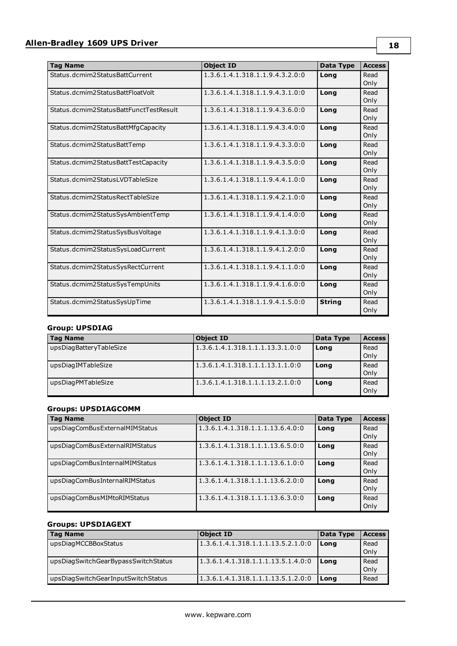| <b>Tag Name</b>                        | <b>Object ID</b>                | Data Type     | <b>Access</b> |
|----------------------------------------|---------------------------------|---------------|---------------|
| Status.dcmim2StatusBattCurrent         | 1.3.6.1.4.1.318.1.1.9.4.3.2.0:0 | Long          | Read<br>Only  |
| Status.dcmim2StatusBattFloatVolt       | 1.3.6.1.4.1.318.1.1.9.4.3.1.0:0 | Long          | Read<br>Only  |
| Status.dcmim2StatusBattFunctTestResult | 1.3.6.1.4.1.318.1.1.9.4.3.6.0:0 | Long          | Read<br>Only  |
| Status.dcmim2StatusBattMfgCapacity     | 1.3.6.1.4.1.318.1.1.9.4.3.4.0:0 | Long          | Read<br>Only  |
| Status.dcmim2StatusBattTemp            | 1.3.6.1.4.1.318.1.1.9.4.3.3.0:0 | Long          | Read<br>Only  |
| Status.dcmim2StatusBattTestCapacity    | 1.3.6.1.4.1.318.1.1.9.4.3.5.0:0 | Long          | Read<br>Only  |
| Status.dcmim2StatusLVDTableSize        | 1.3.6.1.4.1.318.1.1.9.4.4.1.0:0 | Lona          | Read<br>Only  |
| Status.dcmim2StatusRectTableSize       | 1.3.6.1.4.1.318.1.1.9.4.2.1.0:0 | Long          | Read<br>Only  |
| Status.dcmim2StatusSysAmbientTemp      | 1.3.6.1.4.1.318.1.1.9.4.1.4.0:0 | Long          | Read<br>Only  |
| Status.dcmim2StatusSysBusVoltage       | 1.3.6.1.4.1.318.1.1.9.4.1.3.0:0 | Long          | Read<br>Only  |
| Status.dcmim2StatusSysLoadCurrent      | 1.3.6.1.4.1.318.1.1.9.4.1.2.0:0 | Long          | Read<br>Only  |
| Status.dcmim2StatusSysRectCurrent      | 1.3.6.1.4.1.318.1.1.9.4.1.1.0:0 | Long          | Read<br>Only  |
| Status.dcmim2StatusSysTempUnits        | 1.3.6.1.4.1.318.1.1.9.4.1.6.0:0 | Long          | Read<br>Only  |
| Status.dcmim2StatusSysUpTime           | 1.3.6.1.4.1.318.1.1.9.4.1.5.0:0 | <b>String</b> | Read<br>Only  |

## **Group: UPSDIAG**

| <b>Tag Name</b>         | Object ID                        | Data Type | <b>Access</b> |
|-------------------------|----------------------------------|-----------|---------------|
| upsDiagBatteryTableSize | 1.3.6.1.4.1.318.1.1.1.13.3.1.0:0 | Long      | Read          |
|                         |                                  |           | Only          |
| upsDiagIMTableSize      | 1.3.6.1.4.1.318.1.1.1.13.1.1.0:0 | Long      | Read          |
|                         |                                  |           | Only          |
| upsDiagPMTableSize      | 1.3.6.1.4.1.318.1.1.1.13.2.1.0:0 | Long      | Read          |
|                         |                                  |           | Only          |

## **Groups: UPSDIAGCOMM**

| <b>Tag Name</b>                | <b>Object ID</b>                 | Data Type | <b>Access</b> |
|--------------------------------|----------------------------------|-----------|---------------|
| upsDiagComBusExternalMIMStatus | 1.3.6.1.4.1.318.1.1.1.13.6.4.0:0 | Long      | Read          |
|                                |                                  |           | Only          |
| upsDiagComBusExternalRIMStatus | 1.3.6.1.4.1.318.1.1.1.13.6.5.0:0 | Long      | Read          |
|                                |                                  |           | Only          |
| upsDiagComBusInternalMIMStatus | 1.3.6.1.4.1.318.1.1.1.13.6.1.0:0 | Long      | Read          |
|                                |                                  |           | Only          |
| upsDiagComBusInternalRIMStatus | 1.3.6.1.4.1.318.1.1.1.13.6.2.0:0 | Long      | Read          |
|                                |                                  |           | Only          |
| upsDiagComBusMIMtoRIMStatus    | 1.3.6.1.4.1.318.1.1.1.13.6.3.0:0 | Long      | Read          |
|                                |                                  |           | Only          |

## **Groups: UPSDIAGEXT**

| Tag Name                            | <b>Object ID</b>                   | Data Type | <b>Access</b> |
|-------------------------------------|------------------------------------|-----------|---------------|
| upsDiagMCCBBoxStatus                | 1.3.6.1.4.1.318.1.1.1.13.5.2.1.0:0 | l Long    | Read          |
|                                     |                                    |           | Only          |
| upsDiagSwitchGearBypassSwitchStatus | 1.3.6.1.4.1.318.1.1.1.13.5.1.4.0:0 | l Lona    | Read          |
|                                     |                                    |           | Only          |
| upsDiagSwitchGearInputSwitchStatus  | 1.3.6.1.4.1.318.1.1.1.13.5.1.2.0:0 | Long      | Read          |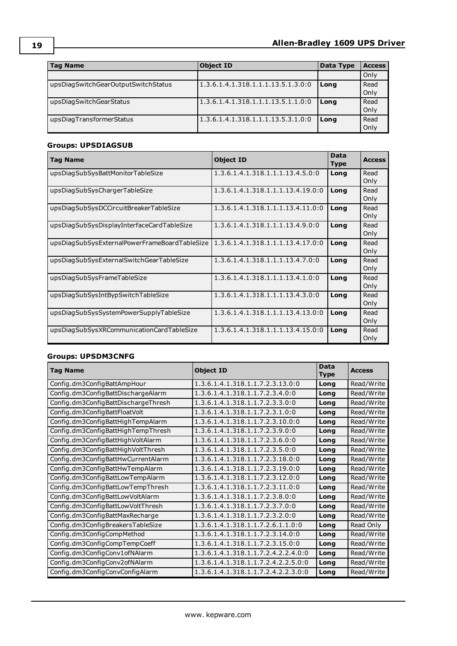| <b>Tag Name</b>                     | <b>Object ID</b>                   | Data Type | <b>Access</b> |
|-------------------------------------|------------------------------------|-----------|---------------|
|                                     |                                    |           | Only          |
| upsDiagSwitchGearOutputSwitchStatus | 1.3.6.1.4.1.318.1.1.1.13.5.1.3.0:0 | Long      | Read<br>Only  |
| upsDiagSwitchGearStatus             | 1.3.6.1.4.1.318.1.1.1.13.5.1.1.0:0 | Long      | Read<br>Only  |
| upsDiagTransformerStatus            | 1.3.6.1.4.1.318.1.1.1.13.5.3.1.0:0 | Long      | Read<br>Only  |

## **Groups: UPSDIAGSUB**

| <b>Tag Name</b>                               | <b>Object ID</b>                  | <b>Data</b><br><b>Type</b> | <b>Access</b> |
|-----------------------------------------------|-----------------------------------|----------------------------|---------------|
| upsDiagSubSysBattMonitorTableSize             | 1.3.6.1.4.1.318.1.1.1.1.3.4.5.0:0 | Long                       | Read<br>Only  |
| upsDiagSubSysChargerTableSize                 | 1.3.6.1.4.1.318.1.1.1.13.4.19.0:0 | Long                       | Read<br>Only  |
| upsDiagSubSysDCCircuitBreakerTableSize        | 1.3.6.1.4.1.318.1.1.1.13.4.11.0:0 | Long                       | Read<br>Only  |
| upsDiagSubSysDisplayInterfaceCardTableSize    | 1.3.6.1.4.1.318.1.1.1.13.4.9.0:0  | Long                       | Read<br>Only  |
| upsDiagSubSysExternalPowerFrameBoardTableSize | 1.3.6.1.4.1.318.1.1.1.13.4.17.0:0 | Long                       | Read<br>Only  |
| upsDiagSubSysExternalSwitchGearTableSize      | 1.3.6.1.4.1.318.1.1.1.13.4.7.0:0  | Long                       | Read<br>Only  |
| upsDiagSubSysFrameTableSize                   | 1.3.6.1.4.1.318.1.1.1.13.4.1.0:0  | Long                       | Read<br>Only  |
| upsDiagSubSysIntBypSwitchTableSize            | 1.3.6.1.4.1.318.1.1.1.13.4.3.0:0  | Long                       | Read<br>Only  |
| upsDiagSubSysSystemPowerSupplyTableSize       | 1.3.6.1.4.1.318.1.1.1.13.4.13.0:0 | Long                       | Read<br>Only  |
| upsDiagSubSysXRCommunicationCardTableSize     | 1.3.6.1.4.1.318.1.1.1.13.4.15.0:0 | Long                       | Read<br>Only  |

## **Groups: UPSDM3CNFG**

| <b>Tag Name</b>                     | <b>Object ID</b>                    | <b>Data</b><br><b>Type</b> | <b>Access</b> |
|-------------------------------------|-------------------------------------|----------------------------|---------------|
| Config.dm3ConfigBattAmpHour         | 1.3.6.1.4.1.318.1.1.7.2.3.13.0:0    | Long                       | Read/Write    |
| Config.dm3ConfigBattDischargeAlarm  | 1.3.6.1.4.1.318.1.1.7.2.3.4.0:0     | Long                       | Read/Write    |
| Config.dm3ConfigBattDischargeThresh | 1.3.6.1.4.1.318.1.1.7.2.3.3.0:0     | Long                       | Read/Write    |
| Config.dm3ConfigBattFloatVolt       | 1.3.6.1.4.1.318.1.1.7.2.3.1.0:0     | Long                       | Read/Write    |
| Config.dm3ConfigBattHighTempAlarm   | 1.3.6.1.4.1.318.1.1.7.2.3.10.0:0    | Long                       | Read/Write    |
| Config.dm3ConfigBattHighTempThresh  | 1.3.6.1.4.1.318.1.1.7.2.3.9.0:0     | Long                       | Read/Write    |
| Config.dm3ConfigBattHighVoltAlarm   | 1.3.6.1.4.1.318.1.1.7.2.3.6.0:0     | Long                       | Read/Write    |
| Config.dm3ConfigBattHighVoltThresh  | 1.3.6.1.4.1.318.1.1.7.2.3.5.0:0     | Long                       | Read/Write    |
| Config.dm3ConfigBattHwCurrentAlarm  | 1.3.6.1.4.1.318.1.1.7.2.3.18.0:0    | Long                       | Read/Write    |
| Config.dm3ConfigBattHwTempAlarm     | 1.3.6.1.4.1.318.1.1.7.2.3.19.0:0    | Long                       | Read/Write    |
| Config.dm3ConfigBattLowTempAlarm    | 1.3.6.1.4.1.318.1.1.7.2.3.12.0:0    | Long                       | Read/Write    |
| Config.dm3ConfigBattLowTempThresh   | 1.3.6.1.4.1.318.1.1.7.2.3.11.0:0    | Long                       | Read/Write    |
| Config.dm3ConfigBattLowVoltAlarm    | 1.3.6.1.4.1.318.1.1.7.2.3.8.0:0     | Long                       | Read/Write    |
| Config.dm3ConfigBattLowVoltThresh   | 1.3.6.1.4.1.318.1.1.7.2.3.7.0:0     | Long                       | Read/Write    |
| Config.dm3ConfigBattMaxRecharge     | 1.3.6.1.4.1.318.1.1.7.2.3.2.0:0     | Long                       | Read/Write    |
| Config.dm3ConfigBreakersTableSize   | 1.3.6.1.4.1.318.1.1.7.2.6.1.1.0:0   | Long                       | Read Only     |
| Config.dm3ConfigCompMethod          | 1.3.6.1.4.1.318.1.1.7.2.3.14.0:0    | Long                       | Read/Write    |
| Config.dm3ConfigCompTempCoeff       | 1.3.6.1.4.1.318.1.1.7.2.3.15.0:0    | Long                       | Read/Write    |
| Config.dm3ConfigConv1ofNAlarm       | 1.3.6.1.4.1.318.1.1.7.2.4.2.2.4.0:0 | Long                       | Read/Write    |
| Config.dm3ConfigConv2ofNAlarm       | 1.3.6.1.4.1.318.1.1.7.2.4.2.2.5.0:0 | Long                       | Read/Write    |
| Config.dm3ConfigConvConfigAlarm     | 1.3.6.1.4.1.318.1.1.7.2.4.2.2.3.0:0 | Long                       | Read/Write    |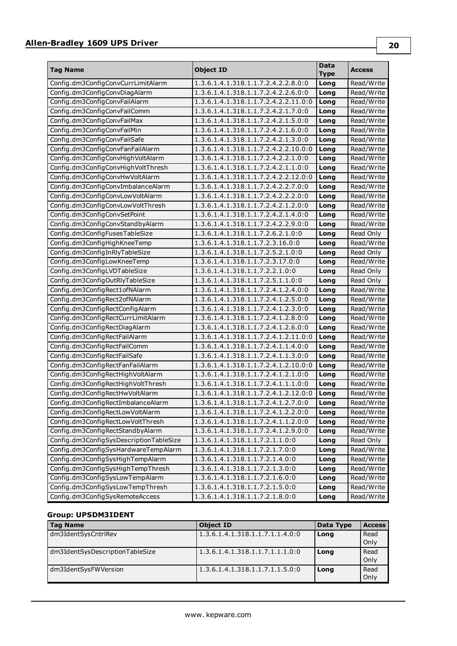| <b>Tag Name</b>                         | <b>Object ID</b>                     | Data<br><b>Type</b> | <b>Access</b> |
|-----------------------------------------|--------------------------------------|---------------------|---------------|
| Config.dm3ConfigConvCurrLimitAlarm      | 1.3.6.1.4.1.318.1.1.7.2.4.2.2.8.0:0  | Long                | Read/Write    |
| Config.dm3ConfigConvDiagAlarm           | 1.3.6.1.4.1.318.1.1.7.2.4.2.2.6.0:0  | Long                | Read/Write    |
| Config.dm3ConfigConvFailAlarm           | 1.3.6.1.4.1.318.1.1.7.2.4.2.2.11.0:0 | Long                | Read/Write    |
| Config.dm3ConfigConvFailComm            | 1.3.6.1.4.1.318.1.1.7.2.4.2.1.7.0:0  | Long                | Read/Write    |
| Config.dm3ConfigConvFailMax             | 1.3.6.1.4.1.318.1.1.7.2.4.2.1.5.0:0  | Long                | Read/Write    |
| Config.dm3ConfigConvFailMin             | 1.3.6.1.4.1.318.1.1.7.2.4.2.1.6.0:0  | Long                | Read/Write    |
| Config.dm3ConfigConvFailSafe            | 1.3.6.1.4.1.318.1.1.7.2.4.2.1.3.0:0  | Long                | Read/Write    |
| Config.dm3ConfigConvFanFailAlarm        | 1.3.6.1.4.1.318.1.1.7.2.4.2.2.10.0:0 | Long                | Read/Write    |
| Config.dm3ConfigConvHighVoltAlarm       | 1.3.6.1.4.1.318.1.1.7.2.4.2.2.1.0:0  | Long                | Read/Write    |
| Config.dm3ConfigConvHighVoltThresh      | 1.3.6.1.4.1.318.1.1.7.2.4.2.1.1.0:0  | Long                | Read/Write    |
| Config.dm3ConfigConvHwVoltAlarm         | 1.3.6.1.4.1.318.1.1.7.2.4.2.2.12.0:0 | Long                | Read/Write    |
| Config.dm3ConfigConvImbalanceAlarm      | 1.3.6.1.4.1.318.1.1.7.2.4.2.2.7.0:0  | Long                | Read/Write    |
| Config.dm3ConfigConvLowVoltAlarm        | 1.3.6.1.4.1.318.1.1.7.2.4.2.2.2.0:0  | Long                | Read/Write    |
| Config.dm3ConfigConvLowVoltThresh       | 1.3.6.1.4.1.318.1.1.7.2.4.2.1.2.0:0  | Long                | Read/Write    |
| Config.dm3ConfigConvSetPoint            | 1.3.6.1.4.1.318.1.1.7.2.4.2.1.4.0:0  | Long                | Read/Write    |
| Config.dm3ConfigConvStandbyAlarm        | 1.3.6.1.4.1.318.1.1.7.2.4.2.2.9.0:0  | Long                | Read/Write    |
| Config.dm3ConfigFusesTableSize          | 1.3.6.1.4.1.318.1.1.7.2.6.2.1.0:0    | Long                | Read Only     |
| Config.dm3ConfigHighKneeTemp            | 1.3.6.1.4.1.318.1.1.7.2.3.16.0:0     | Long                | Read/Write    |
| Config.dm3ConfigInRlyTableSize          | 1.3.6.1.4.1.318.1.1.7.2.5.2.1.0:0    | Long                | Read Only     |
| Config.dm3ConfigLowKneeTemp             | 1.3.6.1.4.1.318.1.1.7.2.3.17.0:0     | Long                | Read/Write    |
| Config.dm3ConfigLVDTableSize            | 1.3.6.1.4.1.318.1.1.7.2.2.1.0:0      | Long                | Read Only     |
| Config.dm3ConfigOutRlyTableSize         | 1.3.6.1.4.1.318.1.1.7.2.5.1.1.0:0    | Long                | Read Only     |
| Config.dm3ConfigRect1ofNAlarm           | 1.3.6.1.4.1.318.1.1.7.2.4.1.2.4.0:0  | Long                | Read/Write    |
| Config.dm3ConfigRect2ofNAlarm           | 1.3.6.1.4.1.318.1.1.7.2.4.1.2.5.0:0  | Long                | Read/Write    |
| Config.dm3ConfigRectConfigAlarm         | 1.3.6.1.4.1.318.1.1.7.2.4.1.2.3.0:0  | Long                | Read/Write    |
| Config.dm3ConfigRectCurrLimitAlarm      | 1.3.6.1.4.1.318.1.1.7.2.4.1.2.8.0:0  | Long                | Read/Write    |
| Config.dm3ConfigRectDiagAlarm           | 1.3.6.1.4.1.318.1.1.7.2.4.1.2.6.0:0  | Long                | Read/Write    |
| Config.dm3ConfigRectFailAlarm           | 1.3.6.1.4.1.318.1.1.7.2.4.1.2.11.0:0 | Long                | Read/Write    |
| Config.dm3ConfigRectFailComm            | 1.3.6.1.4.1.318.1.1.7.2.4.1.1.4.0:0  | Long                | Read/Write    |
| Config.dm3ConfigRectFailSafe            | 1.3.6.1.4.1.318.1.1.7.2.4.1.1.3.0:0  | Long                | Read/Write    |
| Config.dm3ConfigRectFanFailAlarm        | 1.3.6.1.4.1.318.1.1.7.2.4.1.2.10.0:0 | Long                | Read/Write    |
| Config.dm3ConfigRectHighVoltAlarm       | 1.3.6.1.4.1.318.1.1.7.2.4.1.2.1.0:0  | Long                | Read/Write    |
| Config.dm3ConfigRectHighVoltThresh      | 1.3.6.1.4.1.318.1.1.7.2.4.1.1.1.0:0  | Long                | Read/Write    |
| Config.dm3ConfigRectHwVoltAlarm         | 1.3.6.1.4.1.318.1.1.7.2.4.1.2.12.0:0 | Long                | Read/Write    |
| Config.dm3ConfigRectImbalanceAlarm      | 1.3.6.1.4.1.318.1.1.7.2.4.1.2.7.0:0  | Long                | Read/Write    |
| Config.dm3ConfigRectLowVoltAlarm        | 1.3.6.1.4.1.318.1.1.7.2.4.1.2.2.0:0  | Long                | Read/Write    |
| Config.dm3ConfigRectLowVoltThresh       | 1.3.6.1.4.1.318.1.1.7.2.4.1.1.2.0:0  | Long                | Read/Write    |
| Config.dm3ConfigRectStandbyAlarm        | 1.3.6.1.4.1.318.1.1.7.2.4.1.2.9.0:0  | Long                | Read/Write    |
| Config.dm3ConfigSysDescriptionTableSize | 1.3.6.1.4.1.318.1.1.7.2.1.1.0:0      | Long                | Read Only     |
| Config.dm3ConfigSysHardwareTempAlarm    | 1.3.6.1.4.1.318.1.1.7.2.1.7.0:0      | Long                | Read/Write    |
| Config.dm3ConfigSysHighTempAlarm        | 1.3.6.1.4.1.318.1.1.7.2.1.4.0:0      | Long                | Read/Write    |
| Config.dm3ConfigSysHighTempThresh       | 1.3.6.1.4.1.318.1.1.7.2.1.3.0:0      | Long                | Read/Write    |
| Config.dm3ConfigSysLowTempAlarm         | 1.3.6.1.4.1.318.1.1.7.2.1.6.0:0      | Long                | Read/Write    |
| Config.dm3ConfigSysLowTempThresh        | 1.3.6.1.4.1.318.1.1.7.2.1.5.0:0      | Long                | Read/Write    |
| Config.dm3ConfigSysRemoteAccess         | 1.3.6.1.4.1.318.1.1.7.2.1.8.0:0      | Long                | Read/Write    |

## **Group: UPSDM3IDENT**

| <b>Tag Name</b>                 | <b>Object ID</b>                | Data Type | <b>Access</b> |
|---------------------------------|---------------------------------|-----------|---------------|
| dm3IdentSysCntrlRev             | 1.3.6.1.4.1.318.1.1.7.1.1.4.0:0 | Long      | Read          |
|                                 |                                 |           | Only          |
| dm3IdentSysDescriptionTableSize | 1.3.6.1.4.1.318.1.1.7.1.1.1.0:0 | Long      | Read          |
|                                 |                                 |           | Only          |
| dm3IdentSysFWVersion            | 1.3.6.1.4.1.318.1.1.7.1.1.5.0:0 | Long      | Read          |
|                                 |                                 |           | Only          |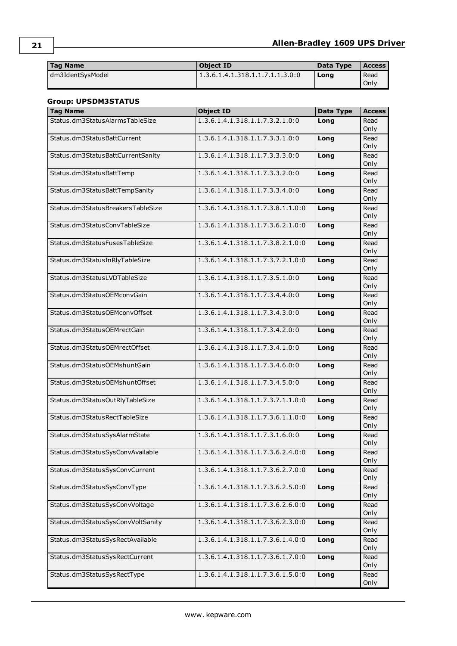| <b>Tag Name</b>  | <b>Object ID</b>                | Data Type | Access |
|------------------|---------------------------------|-----------|--------|
| dm3IdentSvsModel | 1.3.6.1.4.1.318.1.1.7.1.1.3.0:0 | Long      | Read   |
|                  |                                 |           | Only   |

## **Group: UPSDM3STATUS**

| <b>Tag Name</b>                   | <b>Object ID</b>                  | <b>Data Type</b> | <b>Access</b> |
|-----------------------------------|-----------------------------------|------------------|---------------|
| Status.dm3StatusAlarmsTableSize   | 1.3.6.1.4.1.318.1.1.7.3.2.1.0:0   | Long             | Read          |
|                                   |                                   |                  | Only          |
| Status.dm3StatusBattCurrent       | 1.3.6.1.4.1.318.1.1.7.3.3.1.0:0   | Long             | Read          |
|                                   |                                   |                  | Only          |
| Status.dm3StatusBattCurrentSanity | 1.3.6.1.4.1.318.1.1.7.3.3.3.0:0   | Long             | Read          |
|                                   |                                   |                  | Only          |
| Status.dm3StatusBattTemp          | 1.3.6.1.4.1.318.1.1.7.3.3.2.0:0   | Long             | Read          |
|                                   |                                   |                  | Only          |
| Status.dm3StatusBattTempSanity    | 1.3.6.1.4.1.318.1.1.7.3.3.4.0:0   | Long             | Read<br>Only  |
| Status.dm3StatusBreakersTableSize | 1.3.6.1.4.1.318.1.1.7.3.8.1.1.0:0 |                  | Read          |
|                                   |                                   | Long             | Only          |
| Status.dm3StatusConvTableSize     | 1.3.6.1.4.1.318.1.1.7.3.6.2.1.0:0 | Long             | Read          |
|                                   |                                   |                  | Only          |
| Status.dm3StatusFusesTableSize    | 1.3.6.1.4.1.318.1.1.7.3.8.2.1.0:0 | Long             | Read          |
|                                   |                                   |                  | Only          |
| Status.dm3StatusInRlyTableSize    | 1.3.6.1.4.1.318.1.1.7.3.7.2.1.0:0 | Long             | Read          |
|                                   |                                   |                  | Only          |
| Status.dm3StatusLVDTableSize      | 1.3.6.1.4.1.318.1.1.7.3.5.1.0:0   | Long             | Read          |
|                                   |                                   |                  | Only          |
| Status.dm3StatusOEMconvGain       | 1.3.6.1.4.1.318.1.1.7.3.4.4.0:0   | Long             | Read          |
|                                   |                                   |                  | Only          |
| Status.dm3StatusOEMconvOffset     | 1.3.6.1.4.1.318.1.1.7.3.4.3.0:0   | Long             | Read          |
|                                   |                                   |                  | Only          |
| Status.dm3StatusOEMrectGain       | 1.3.6.1.4.1.318.1.1.7.3.4.2.0:0   | Long             | Read          |
|                                   |                                   |                  | Only          |
| Status.dm3StatusOEMrectOffset     | 1.3.6.1.4.1.318.1.1.7.3.4.1.0:0   | Long             | Read          |
|                                   |                                   |                  | Only          |
| Status.dm3StatusOEMshuntGain      | 1.3.6.1.4.1.318.1.1.7.3.4.6.0:0   | Long             | Read          |
|                                   |                                   |                  | Only          |
| Status.dm3StatusOEMshuntOffset    | 1.3.6.1.4.1.318.1.1.7.3.4.5.0:0   | Long             | Read          |
|                                   |                                   |                  | Only          |
| Status.dm3StatusOutRlyTableSize   | 1.3.6.1.4.1.318.1.1.7.3.7.1.1.0:0 | Long             | Read          |
|                                   | 1.3.6.1.4.1.318.1.1.7.3.6.1.1.0:0 |                  | Only          |
| Status.dm3StatusRectTableSize     |                                   | Long             | Read<br>Only  |
| Status.dm3StatusSysAlarmState     | 1.3.6.1.4.1.318.1.1.7.3.1.6.0:0   | Long             | Read          |
|                                   |                                   |                  | Only          |
| Status.dm3StatusSysConvAvailable  | 1.3.6.1.4.1.318.1.1.7.3.6.2.4.0:0 | Long             | Read          |
|                                   |                                   |                  | Only          |
| Status.dm3StatusSysConvCurrent    | 1.3.6.1.4.1.318.1.1.7.3.6.2.7.0:0 | Long             | Read          |
|                                   |                                   |                  | Only          |
| Status.dm3StatusSysConvType       | 1.3.6.1.4.1.318.1.1.7.3.6.2.5.0:0 | Long             | Read          |
|                                   |                                   |                  | Only          |
| Status.dm3StatusSysConvVoltage    | 1.3.6.1.4.1.318.1.1.7.3.6.2.6.0:0 | Long             | Read          |
|                                   |                                   |                  | Only          |
| Status.dm3StatusSysConvVoltSanity | 1.3.6.1.4.1.318.1.1.7.3.6.2.3.0:0 | Long             | Read          |
|                                   |                                   |                  | Only          |
| Status.dm3StatusSysRectAvailable  | 1.3.6.1.4.1.318.1.1.7.3.6.1.4.0:0 | Long             | Read          |
|                                   |                                   |                  | Only          |
| Status.dm3StatusSysRectCurrent    | 1.3.6.1.4.1.318.1.1.7.3.6.1.7.0:0 | Long             | Read          |
|                                   |                                   |                  | Only          |
| Status.dm3StatusSysRectType       | 1.3.6.1.4.1.318.1.1.7.3.6.1.5.0:0 | Long             | Read          |
|                                   |                                   |                  | Only          |

**21**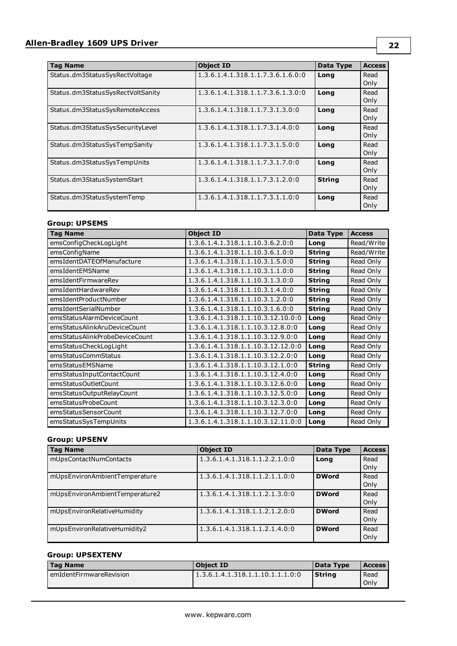| <b>Tag Name</b>                   | <b>Object ID</b>                  | Data Type     | <b>Access</b> |
|-----------------------------------|-----------------------------------|---------------|---------------|
| Status.dm3StatusSysRectVoltage    | 1.3.6.1.4.1.318.1.1.7.3.6.1.6.0:0 | Long          | Read<br>Only  |
| Status.dm3StatusSysRectVoltSanity | 1.3.6.1.4.1.318.1.1.7.3.6.1.3.0:0 | Long          | Read<br>Only  |
| Status.dm3StatusSysRemoteAccess   | 1.3.6.1.4.1.318.1.1.7.3.1.3.0:0   | Lona          | Read<br>Only  |
| Status.dm3StatusSysSecurityLevel  | 1.3.6.1.4.1.318.1.1.7.3.1.4.0:0   | Long          | Read<br>Only  |
| Status.dm3StatusSysTempSanity     | 1.3.6.1.4.1.318.1.1.7.3.1.5.0:0   | Long          | Read<br>Only  |
| Status.dm3StatusSysTempUnits      | 1.3.6.1.4.1.318.1.1.7.3.1.7.0:0   | Long          | Read<br>Only  |
| Status.dm3StatusSystemStart       | 1.3.6.1.4.1.318.1.1.7.3.1.2.0:0   | <b>String</b> | Read<br>Only  |
| Status.dm3StatusSystemTemp        | 1.3.6.1.4.1.318.1.1.7.3.1.1.0:0   | Long          | Read<br>Only  |

## **Group: UPSEMS**

| <b>Tag Name</b>                | <b>Object ID</b>                   | Data Type     | <b>Access</b> |
|--------------------------------|------------------------------------|---------------|---------------|
| emsConfigCheckLogLight         | 1.3.6.1.4.1.318.1.1.10.3.6.2.0:0   | Long          | Read/Write    |
| emsConfigName                  | 1.3.6.1.4.1.318.1.1.10.3.6.1.0:0   | <b>String</b> | Read/Write    |
| emsIdentDATEOfManufacture      | 1.3.6.1.4.1.318.1.1.10.3.1.5.0:0   | <b>String</b> | Read Only     |
| emsIdentEMSName                | 1.3.6.1.4.1.318.1.1.10.3.1.1.0:0   | <b>String</b> | Read Only     |
| emsIdentFirmwareRev            | 1.3.6.1.4.1.318.1.1.10.3.1.3.0:0   | <b>String</b> | Read Only     |
| emsIdentHardwareRev            | 1.3.6.1.4.1.318.1.1.10.3.1.4.0:0   | <b>String</b> | Read Only     |
| emsIdentProductNumber          | 1.3.6.1.4.1.318.1.1.10.3.1.2.0:0   | <b>String</b> | Read Only     |
| emsIdentSerialNumber           | 1.3.6.1.4.1.318.1.1.10.3.1.6.0:0   | <b>String</b> | Read Only     |
| emsStatusAlarmDeviceCount      | 1.3.6.1.4.1.318.1.1.10.3.12.10.0:0 | Long          | Read Only     |
| emsStatusAlinkAruDeviceCount   | 1.3.6.1.4.1.318.1.1.10.3.12.8.0:0  | Long          | Read Only     |
| emsStatusAlinkProbeDeviceCount | 1.3.6.1.4.1.318.1.1.10.3.12.9.0:0  | Long          | Read Only     |
| emsStatusCheckLogLight         | 1.3.6.1.4.1.318.1.1.10.3.12.12.0:0 | Long          | Read Only     |
| emsStatusCommStatus            | 1.3.6.1.4.1.318.1.1.10.3.12.2.0:0  | Long          | Read Only     |
| emsStatusEMSName               | 1.3.6.1.4.1.318.1.1.10.3.12.1.0:0  | <b>String</b> | Read Only     |
| emsStatusInputContactCount     | 1.3.6.1.4.1.318.1.1.10.3.12.4.0:0  | Long          | Read Only     |
| emsStatusOutletCount           | 1.3.6.1.4.1.318.1.1.10.3.12.6.0:0  | Long          | Read Only     |
| emsStatusOutputRelayCount      | 1.3.6.1.4.1.318.1.1.10.3.12.5.0:0  | Long          | Read Only     |
| emsStatusProbeCount            | 1.3.6.1.4.1.318.1.1.10.3.12.3.0:0  | Long          | Read Only     |
| emsStatusSensorCount           | 1.3.6.1.4.1.318.1.1.10.3.12.7.0:0  | Long          | Read Only     |
| emsStatusSysTempUnits          | 1.3.6.1.4.1.318.1.1.10.3.12.11.0:0 | Long          | Read Only     |

## **Group: UPSENV**

| <b>Tag Name</b>                | <b>Object ID</b>              | Data Type    | <b>Access</b> |
|--------------------------------|-------------------------------|--------------|---------------|
| mUpsContactNumContacts         | 1.3.6.1.4.1.318.1.1.2.2.1.0:0 | Long         | Read          |
|                                |                               |              | Only          |
| mUpsEnvironAmbientTemperature  | 1.3.6.1.4.1.318.1.1.2.1.1.0:0 | <b>DWord</b> | Read          |
|                                |                               |              | Only          |
| mUpsEnvironAmbientTemperature2 | 1.3.6.1.4.1.318.1.1.2.1.3.0:0 | <b>DWord</b> | Read          |
|                                |                               |              | Only          |
| mUpsEnvironRelativeHumidity    | 1.3.6.1.4.1.318.1.1.2.1.2.0:0 | <b>DWord</b> | Read          |
|                                |                               |              | Only          |
| mUpsEnvironRelativeHumidity2   | 1.3.6.1.4.1.318.1.1.2.1.4.0:0 | <b>DWord</b> | Read          |
|                                |                               |              | Only          |

### **Group: UPSEXTENV**

| <b>Tag Name</b>           | <b>Object ID</b>                 | Data Type | <b>Access</b> |
|---------------------------|----------------------------------|-----------|---------------|
| i emIdentFirmwareRevision | 1.3.6.1.4.1.318.1.1.10.1.1.1.0:0 | Strina    | Read<br>Only  |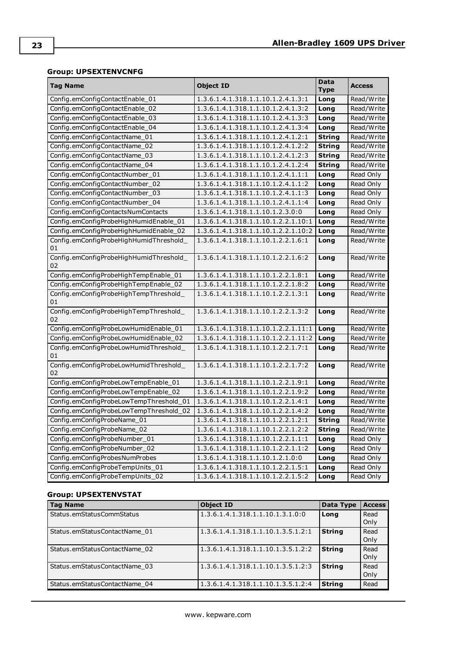## **Group: UPSEXTENVCNFG**

| <b>Tag Name</b>                               | <b>Object ID</b>                    | Data<br><b>Type</b> | <b>Access</b> |
|-----------------------------------------------|-------------------------------------|---------------------|---------------|
| Config.emConfigContactEnable_01               | 1.3.6.1.4.1.318.1.1.10.1.2.4.1.3:1  | Long                | Read/Write    |
| Config.emConfigContactEnable 02               | 1.3.6.1.4.1.318.1.1.10.1.2.4.1.3:2  | Long                | Read/Write    |
| Config.emConfigContactEnable_03               | 1.3.6.1.4.1.318.1.1.10.1.2.4.1.3:3  | Long                | Read/Write    |
| Config.emConfigContactEnable_04               | 1.3.6.1.4.1.318.1.1.10.1.2.4.1.3:4  | Long                | Read/Write    |
| Config.emConfigContactName_01                 | 1.3.6.1.4.1.318.1.1.10.1.2.4.1.2:1  | <b>String</b>       | Read/Write    |
| Config.emConfigContactName_02                 | 1.3.6.1.4.1.318.1.1.10.1.2.4.1.2:2  | String              | Read/Write    |
| Config.emConfigContactName_03                 | 1.3.6.1.4.1.318.1.1.10.1.2.4.1.2:3  | String              | Read/Write    |
| Config.emConfigContactName 04                 | 1.3.6.1.4.1.318.1.1.10.1.2.4.1.2:4  | <b>String</b>       | Read/Write    |
| Config.emConfigContactNumber_01               | 1.3.6.1.4.1.318.1.1.10.1.2.4.1.1:1  | Long                | Read Only     |
| Config.emConfigContactNumber_02               | 1.3.6.1.4.1.318.1.1.10.1.2.4.1.1:2  | Long                | Read Only     |
| Config.emConfigContactNumber_03               | 1.3.6.1.4.1.318.1.1.10.1.2.4.1.1:3  | Long                | Read Only     |
| Config.emConfigContactNumber_04               | 1.3.6.1.4.1.318.1.1.10.1.2.4.1.1:4  | Long                | Read Only     |
| Config.emConfigContactsNumContacts            | 1.3.6.1.4.1.318.1.1.10.1.2.3.0:0    | Long                | Read Only     |
| Config.emConfigProbeHighHumidEnable_01        | 1.3.6.1.4.1.318.1.1.10.1.2.2.1.10:1 | Long                | Read/Write    |
| Config.emConfigProbeHighHumidEnable_02        | 1.3.6.1.4.1.318.1.1.10.1.2.2.1.10:2 | Long                | Read/Write    |
| Config.emConfigProbeHighHumidThreshold_<br>01 | 1.3.6.1.4.1.318.1.1.10.1.2.2.1.6:1  | Long                | Read/Write    |
| Config.emConfigProbeHighHumidThreshold_<br>02 | 1.3.6.1.4.1.318.1.1.10.1.2.2.1.6:2  | Long                | Read/Write    |
| Config.emConfigProbeHighTempEnable_01         | 1.3.6.1.4.1.318.1.1.10.1.2.2.1.8:1  | Long                | Read/Write    |
| Config.emConfigProbeHighTempEnable_02         | 1.3.6.1.4.1.318.1.1.10.1.2.2.1.8:2  | Long                | Read/Write    |
| Config.emConfigProbeHighTempThreshold_<br>01  | 1.3.6.1.4.1.318.1.1.10.1.2.2.1.3:1  | Long                | Read/Write    |
| Config.emConfigProbeHighTempThreshold_<br>02  | 1.3.6.1.4.1.318.1.1.10.1.2.2.1.3:2  | Long                | Read/Write    |
| Config.emConfigProbeLowHumidEnable_01         | 1.3.6.1.4.1.318.1.1.10.1.2.2.1.11:1 | Long                | Read/Write    |
| Config.emConfigProbeLowHumidEnable_02         | 1.3.6.1.4.1.318.1.1.10.1.2.2.1.11:2 | Long                | Read/Write    |
| Config.emConfigProbeLowHumidThreshold_<br>01  | 1.3.6.1.4.1.318.1.1.10.1.2.2.1.7:1  | Long                | Read/Write    |
| Config.emConfigProbeLowHumidThreshold_<br>02  | 1.3.6.1.4.1.318.1.1.10.1.2.2.1.7:2  | Long                | Read/Write    |
| Config.emConfigProbeLowTempEnable_01          | 1.3.6.1.4.1.318.1.1.10.1.2.2.1.9:1  | Long                | Read/Write    |
| Config.emConfigProbeLowTempEnable_02          | 1.3.6.1.4.1.318.1.1.10.1.2.2.1.9:2  | Long                | Read/Write    |
| Config.emConfigProbeLowTempThreshold_01       | 1.3.6.1.4.1.318.1.1.10.1.2.2.1.4:1  | Long                | Read/Write    |
| Config.emConfigProbeLowTempThreshold_02       | 1.3.6.1.4.1.318.1.1.10.1.2.2.1.4:2  | Long                | Read/Write    |
| Config.emConfigProbeName_01                   | 1.3.6.1.4.1.318.1.1.10.1.2.2.1.2:1  | <b>String</b>       | Read/Write    |
| Config.emConfigProbeName_02                   | 1.3.6.1.4.1.318.1.1.10.1.2.2.1.2:2  | <b>String</b>       | Read/Write    |
| Config.emConfigProbeNumber_01                 | 1.3.6.1.4.1.318.1.1.10.1.2.2.1.1:1  | Long                | Read Only     |
| Config.emConfigProbeNumber_02                 | 1.3.6.1.4.1.318.1.1.10.1.2.2.1.1:2  | Long                | Read Only     |
| Config.emConfigProbesNumProbes                | 1.3.6.1.4.1.318.1.1.10.1.2.1.0:0    | Long                | Read Only     |
| Config.emConfigProbeTempUnits_01              | 1.3.6.1.4.1.318.1.1.10.1.2.2.1.5:1  | Long                | Read Only     |
| Config.emConfigProbeTempUnits_02              | 1.3.6.1.4.1.318.1.1.10.1.2.2.1.5:2  | Long                | Read Only     |

## **Group: UPSEXTENVSTAT**

| <b>Tag Name</b>               | <b>Object ID</b>                   | Data Type     | <b>Access</b> |
|-------------------------------|------------------------------------|---------------|---------------|
| Status.emStatusCommStatus     | 1.3.6.1.4.1.318.1.1.10.1.3.1.0:0   | Long          | Read<br>Only  |
| Status.emStatusContactName 01 | 1.3.6.1.4.1.318.1.1.10.1.3.5.1.2:1 | <b>String</b> | Read<br>Only  |
| Status.emStatusContactName 02 | 1.3.6.1.4.1.318.1.1.10.1.3.5.1.2:2 | <b>String</b> | Read<br>Only  |
| Status.emStatusContactName 03 | 1.3.6.1.4.1.318.1.1.10.1.3.5.1.2:3 | <b>String</b> | Read<br>Only  |
| Status.emStatusContactName 04 | 1.3.6.1.4.1.318.1.1.10.1.3.5.1.2:4 | <b>String</b> | Read          |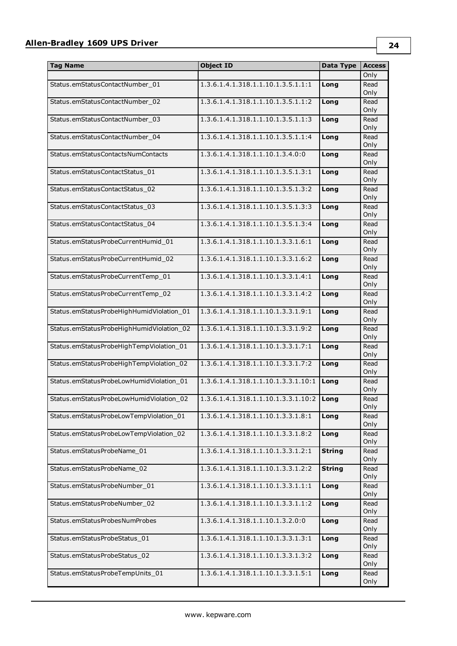| <b>Tag Name</b>                           | <b>Object ID</b>                    | Data Type     | <b>Access</b> |
|-------------------------------------------|-------------------------------------|---------------|---------------|
|                                           |                                     |               | Only          |
| Status.emStatusContactNumber_01           | 1.3.6.1.4.1.318.1.1.10.1.3.5.1.1:1  | Long          | Read          |
|                                           |                                     |               | Only          |
| Status.emStatusContactNumber_02           | 1.3.6.1.4.1.318.1.1.10.1.3.5.1.1:2  | Long          | Read          |
|                                           |                                     |               | Only          |
| Status.emStatusContactNumber_03           | 1.3.6.1.4.1.318.1.1.10.1.3.5.1.1:3  | Long          | Read          |
|                                           |                                     |               | Only          |
| Status.emStatusContactNumber_04           | 1.3.6.1.4.1.318.1.1.10.1.3.5.1.1:4  | Long          | Read          |
|                                           |                                     |               | Only          |
| Status.emStatusContactsNumContacts        | 1.3.6.1.4.1.318.1.1.10.1.3.4.0:0    | Long          | Read          |
|                                           |                                     |               | Only          |
| Status.emStatusContactStatus_01           | 1.3.6.1.4.1.318.1.1.10.1.3.5.1.3:1  | Long          | Read<br>Only  |
| Status.emStatusContactStatus_02           | 1.3.6.1.4.1.318.1.1.10.1.3.5.1.3:2  |               | Read          |
|                                           |                                     | Long          | Only          |
| Status.emStatusContactStatus_03           | 1.3.6.1.4.1.318.1.1.10.1.3.5.1.3:3  | Long          | Read          |
|                                           |                                     |               | Only          |
| Status.emStatusContactStatus_04           | 1.3.6.1.4.1.318.1.1.10.1.3.5.1.3:4  | Long          | Read          |
|                                           |                                     |               | Only          |
| Status.emStatusProbeCurrentHumid_01       | 1.3.6.1.4.1.318.1.1.10.1.3.3.1.6:1  | Long          | Read          |
|                                           |                                     |               | Only          |
| Status.emStatusProbeCurrentHumid_02       | 1.3.6.1.4.1.318.1.1.10.1.3.3.1.6:2  | Long          | Read          |
|                                           |                                     |               | Only          |
| Status.emStatusProbeCurrentTemp_01        | 1.3.6.1.4.1.318.1.1.10.1.3.3.1.4:1  | Long          | Read          |
|                                           |                                     |               | Only          |
| Status.emStatusProbeCurrentTemp_02        | 1.3.6.1.4.1.318.1.1.10.1.3.3.1.4:2  | Long          | Read          |
|                                           |                                     |               | Only          |
| Status.emStatusProbeHighHumidViolation_01 | 1.3.6.1.4.1.318.1.1.10.1.3.3.1.9:1  | Long          | Read          |
|                                           |                                     |               | Only          |
| Status.emStatusProbeHighHumidViolation_02 | 1.3.6.1.4.1.318.1.1.10.1.3.3.1.9:2  | Long          | Read          |
|                                           |                                     |               | Only          |
| Status.emStatusProbeHighTempViolation_01  | 1.3.6.1.4.1.318.1.1.10.1.3.3.1.7:1  | Long          | Read          |
| Status.emStatusProbeHighTempViolation_02  | 1.3.6.1.4.1.318.1.1.10.1.3.3.1.7:2  | Long          | Only<br>Read  |
|                                           |                                     |               | Only          |
| Status.emStatusProbeLowHumidViolation_01  | 1.3.6.1.4.1.318.1.1.10.1.3.3.1.10:1 | Long          | Read          |
|                                           |                                     |               | Only          |
| Status.emStatusProbeLowHumidViolation_02  | 1.3.6.1.4.1.318.1.1.10.1.3.3.1.10:2 | Long          | Read          |
|                                           |                                     |               | Only          |
| Status.emStatusProbeLowTempViolation_01   | 1.3.6.1.4.1.318.1.1.10.1.3.3.1.8:1  | Long          | Read          |
|                                           |                                     |               | Only          |
| Status.emStatusProbeLowTempViolation_02   | 1.3.6.1.4.1.318.1.1.10.1.3.3.1.8:2  | Long          | Read          |
|                                           |                                     |               | Only          |
| Status.emStatusProbeName_01               | 1.3.6.1.4.1.318.1.1.10.1.3.3.1.2:1  | <b>String</b> | Read          |
|                                           |                                     |               | Only          |
| Status.emStatusProbeName_02               | 1.3.6.1.4.1.318.1.1.10.1.3.3.1.2:2  | <b>String</b> | Read          |
|                                           |                                     |               | Only          |
| Status.emStatusProbeNumber_01             | 1.3.6.1.4.1.318.1.1.10.1.3.3.1.1:1  | Long          | Read          |
|                                           |                                     |               | Only          |
| Status.emStatusProbeNumber_02             | 1.3.6.1.4.1.318.1.1.10.1.3.3.1.1:2  | Long          | Read<br>Only  |
|                                           |                                     |               |               |
| Status.emStatusProbesNumProbes            | 1.3.6.1.4.1.318.1.1.10.1.3.2.0:0    | Long          | Read<br>Only  |
| Status.emStatusProbeStatus_01             | 1.3.6.1.4.1.318.1.1.10.1.3.3.1.3:1  | Long          | Read          |
|                                           |                                     |               | Only          |
| Status.emStatusProbeStatus_02             | 1.3.6.1.4.1.318.1.1.10.1.3.3.1.3:2  | Long          | Read          |
|                                           |                                     |               | Only          |
| Status.emStatusProbeTempUnits_01          | 1.3.6.1.4.1.318.1.1.10.1.3.3.1.5:1  | Long          | Read          |
|                                           |                                     |               | Only          |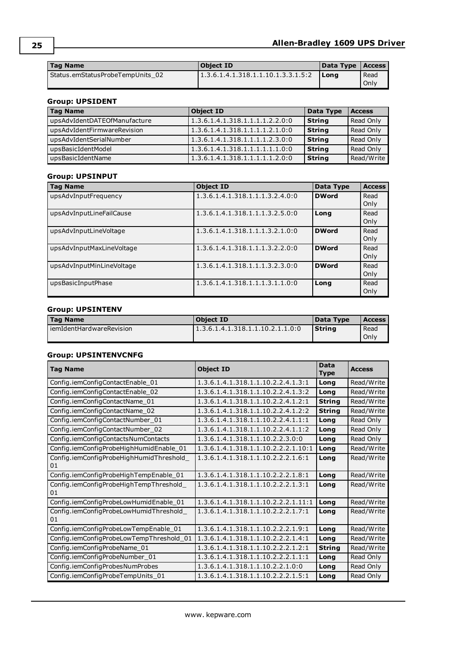| l Tag Name                       | Object ID                          | Data Type   Access |      |
|----------------------------------|------------------------------------|--------------------|------|
| Status.emStatusProbeTempUnits 02 | 1.3.6.1.4.1.318.1.1.10.1.3.3.1.5:2 | <b>I</b> Long      | Read |
|                                  |                                    |                    | Only |

## **Group: UPSIDENT**

| <b>Tag Name</b>              | <b>Object ID</b>                | Data Type     | <b>Access</b> |
|------------------------------|---------------------------------|---------------|---------------|
| upsAdvIdentDATEOfManufacture | 1.3.6.1.4.1.318.1.1.1.1.2.2.0:0 | <b>String</b> | Read Only     |
| upsAdvIdentFirmwareRevision  | 1.3.6.1.4.1.318.1.1.1.1.2.1.0:0 | <b>String</b> | Read Only     |
| upsAdvIdentSerialNumber      | 1.3.6.1.4.1.318.1.1.1.1.2.3.0:0 | <b>String</b> | Read Only     |
| upsBasicIdentModel           | 1.3.6.1.4.1.318.1.1.1.1.1.1.0:0 | <b>String</b> | Read Only     |
| upsBasicIdentName            | 1.3.6.1.4.1.318.1.1.1.1.1.2.0:0 | <b>String</b> | Read/Write    |

## **Group: UPSINPUT**

| <b>Tag Name</b>           | <b>Object ID</b>                | Data Type    | <b>Access</b> |
|---------------------------|---------------------------------|--------------|---------------|
| upsAdvInputFrequency      | 1.3.6.1.4.1.318.1.1.1.3.2.4.0:0 | <b>DWord</b> | Read<br>Only  |
| upsAdvInputLineFailCause  | 1.3.6.1.4.1.318.1.1.1.3.2.5.0:0 | Long         | Read<br>Only  |
| upsAdvInputLineVoltage    | 1.3.6.1.4.1.318.1.1.1.3.2.1.0:0 | <b>DWord</b> | Read<br>Only  |
| upsAdvInputMaxLineVoltage | 1.3.6.1.4.1.318.1.1.1.3.2.2.0:0 | <b>DWord</b> | Read<br>Only  |
| upsAdvInputMinLineVoltage | 1.3.6.1.4.1.318.1.1.1.3.2.3.0:0 | <b>DWord</b> | Read<br>Only  |
| upsBasicInputPhase        | 1.3.6.1.4.1.318.1.1.1.3.1.1.0:0 | Long         | Read<br>Only  |

## **Group: UPSINTENV**

| <b>Tag Name</b>            | <b>Object ID</b>                 | Data Type | <b>Access</b> |
|----------------------------|----------------------------------|-----------|---------------|
| l iemIdentHardwareRevision | 1.3.6.1.4.1.318.1.1.10.2.1.1.0:0 | l Strina  | Read<br>Only  |
|                            |                                  |           |               |

## **Group: UPSINTENVCNFG**

| <b>Tag Name</b>                                | <b>Object ID</b>                    | <b>Data</b><br><b>Type</b> | <b>Access</b> |
|------------------------------------------------|-------------------------------------|----------------------------|---------------|
| Config.iemConfigContactEnable_01               | 1.3.6.1.4.1.318.1.1.10.2.2.4.1.3:1  | Long                       | Read/Write    |
| Config.iemConfigContactEnable_02               | 1.3.6.1.4.1.318.1.1.10.2.2.4.1.3:2  | Long                       | Read/Write    |
| Config.iemConfigContactName_01                 | 1.3.6.1.4.1.318.1.1.10.2.2.4.1.2:1  | <b>String</b>              | Read/Write    |
| Config.iemConfigContactName_02                 | 1.3.6.1.4.1.318.1.1.10.2.2.4.1.2:2  | <b>String</b>              | Read/Write    |
| Config.iemConfigContactNumber_01               | 1.3.6.1.4.1.318.1.1.10.2.2.4.1.1:1  | Long                       | Read Only     |
| Config.iemConfigContactNumber_02               | 1.3.6.1.4.1.318.1.1.10.2.2.4.1.1:2  | Long                       | Read Only     |
| Config.iemConfigContactsNumContacts            | 1.3.6.1.4.1.318.1.1.10.2.2.3.0:0    | Long                       | Read Only     |
| Config.iemConfigProbeHighHumidEnable_01        | 1.3.6.1.4.1.318.1.1.10.2.2.2.1.10:1 | Long                       | Read/Write    |
| Config.iemConfigProbeHighHumidThreshold_<br>01 | 1.3.6.1.4.1.318.1.1.10.2.2.2.1.6:1  | Long                       | Read/Write    |
| Config.iemConfigProbeHighTempEnable_01         | 1.3.6.1.4.1.318.1.1.10.2.2.2.1.8:1  | Long                       | Read/Write    |
| Config.iemConfigProbeHighTempThreshold<br>01   | 1.3.6.1.4.1.318.1.1.10.2.2.2.1.3:1  | Long                       | Read/Write    |
| Config.iemConfigProbeLowHumidEnable_01         | 1.3.6.1.4.1.318.1.1.10.2.2.2.1.11:1 | Long                       | Read/Write    |
| Config.iemConfigProbeLowHumidThreshold_<br>01  | 1.3.6.1.4.1.318.1.1.10.2.2.2.1.7:1  | Long                       | Read/Write    |
| Config.iemConfigProbeLowTempEnable_01          | 1.3.6.1.4.1.318.1.1.10.2.2.2.1.9:1  | Long                       | Read/Write    |
| Config.iemConfigProbeLowTempThreshold_01       | 1.3.6.1.4.1.318.1.1.10.2.2.2.1.4:1  | Long                       | Read/Write    |
| Config.iemConfigProbeName 01                   | 1.3.6.1.4.1.318.1.1.10.2.2.2.1.2:1  | <b>String</b>              | Read/Write    |
| Config.iemConfigProbeNumber_01                 | 1.3.6.1.4.1.318.1.1.10.2.2.2.1.1:1  | Long                       | Read Only     |
| Config.iemConfigProbesNumProbes                | 1.3.6.1.4.1.318.1.1.10.2.2.1.0:0    | Long                       | Read Only     |
| Config.iemConfigProbeTempUnits_01              | 1.3.6.1.4.1.318.1.1.10.2.2.2.1.5:1  | Long                       | Read Only     |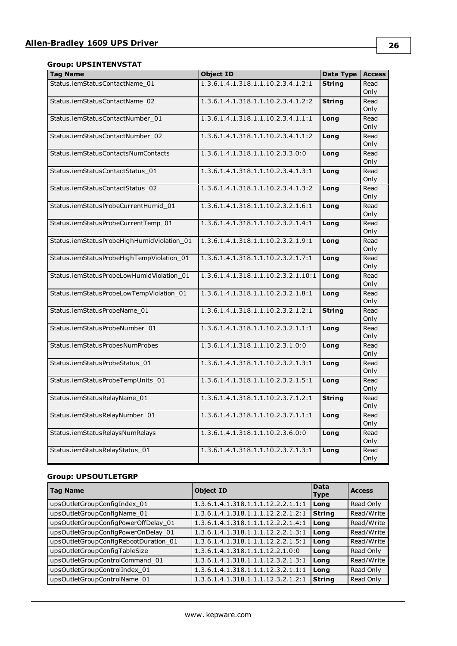## **Group: UPSINTENVSTAT**

| <b>Tag Name</b>                            | <b>Object ID</b>                    | <b>Data Type</b> | <b>Access</b> |
|--------------------------------------------|-------------------------------------|------------------|---------------|
| Status.iemStatusContactName_01             | 1.3.6.1.4.1.318.1.1.10.2.3.4.1.2:1  | <b>String</b>    | Read          |
|                                            |                                     |                  | Only          |
| Status.iemStatusContactName 02             | 1.3.6.1.4.1.318.1.1.10.2.3.4.1.2:2  | <b>String</b>    | Read          |
|                                            |                                     |                  | Only          |
| Status.iemStatusContactNumber_01           | 1.3.6.1.4.1.318.1.1.10.2.3.4.1.1:1  | Long             | Read          |
|                                            |                                     |                  | Only          |
| Status.iemStatusContactNumber_02           | 1.3.6.1.4.1.318.1.1.10.2.3.4.1.1:2  | Long             | Read          |
|                                            |                                     |                  | Only          |
| Status.iemStatusContactsNumContacts        | 1.3.6.1.4.1.318.1.1.10.2.3.3.0:0    | Long             | Read          |
|                                            |                                     |                  | Only          |
| Status.iemStatusContactStatus 01           | 1.3.6.1.4.1.318.1.1.10.2.3.4.1.3:1  | Long             | Read          |
|                                            |                                     |                  | Only          |
| Status.iemStatusContactStatus_02           | 1.3.6.1.4.1.318.1.1.10.2.3.4.1.3:2  | Long             | Read          |
|                                            |                                     |                  | Only          |
| Status.iemStatusProbeCurrentHumid 01       | 1.3.6.1.4.1.318.1.1.10.2.3.2.1.6:1  | Long             | Read          |
|                                            |                                     |                  | Only          |
| Status.iemStatusProbeCurrentTemp_01        | 1.3.6.1.4.1.318.1.1.10.2.3.2.1.4:1  | Long             | Read          |
|                                            |                                     |                  | Only          |
| Status.iemStatusProbeHighHumidViolation_01 | 1.3.6.1.4.1.318.1.1.10.2.3.2.1.9:1  | Long             | Read          |
|                                            |                                     |                  | Only          |
| Status.iemStatusProbeHighTempViolation_01  | 1.3.6.1.4.1.318.1.1.10.2.3.2.1.7:1  | Long             | Read          |
|                                            |                                     |                  | Only          |
| Status.iemStatusProbeLowHumidViolation_01  | 1.3.6.1.4.1.318.1.1.10.2.3.2.1.10:1 | Long             | Read          |
|                                            |                                     |                  | Only          |
| Status.iemStatusProbeLowTempViolation_01   | 1.3.6.1.4.1.318.1.1.10.2.3.2.1.8:1  | Long             | Read          |
|                                            |                                     |                  | Only          |
| Status.iemStatusProbeName 01               | 1.3.6.1.4.1.318.1.1.10.2.3.2.1.2:1  | <b>String</b>    | Read          |
|                                            |                                     |                  | Only          |
| Status.iemStatusProbeNumber 01             | 1.3.6.1.4.1.318.1.1.10.2.3.2.1.1:1  | Long             | Read          |
|                                            |                                     |                  | Only          |
| Status.iemStatusProbesNumProbes            | 1.3.6.1.4.1.318.1.1.10.2.3.1.0:0    | Long             | Read          |
|                                            |                                     |                  | Only          |
| Status.iemStatusProbeStatus 01             | 1.3.6.1.4.1.318.1.1.10.2.3.2.1.3:1  | Long             | Read          |
|                                            |                                     |                  | Only          |
| Status.iemStatusProbeTempUnits_01          | 1.3.6.1.4.1.318.1.1.10.2.3.2.1.5:1  | Long             | Read          |
|                                            |                                     |                  | Only          |
| Status.iemStatusRelayName_01               | 1.3.6.1.4.1.318.1.1.10.2.3.7.1.2:1  | <b>String</b>    | Read          |
|                                            |                                     |                  | Only          |
| Status.iemStatusRelayNumber_01             | 1.3.6.1.4.1.318.1.1.10.2.3.7.1.1:1  | Long             | Read          |
|                                            |                                     |                  | Only          |
| Status.iemStatusRelaysNumRelays            | 1.3.6.1.4.1.318.1.1.10.2.3.6.0:0    | Long             | Read          |
|                                            |                                     |                  | Only          |
| Status.iemStatusRelayStatus_01             | 1.3.6.1.4.1.318.1.1.10.2.3.7.1.3:1  | Long             | Read          |
|                                            |                                     |                  | Only          |

## **Group: UPSOUTLETGRP**

| <b>Tag Name</b>                       | <b>Object ID</b>                   | Data<br><b>Type</b> | <b>Access</b> |
|---------------------------------------|------------------------------------|---------------------|---------------|
| upsOutletGroupConfigIndex 01          | 1.3.6.1.4.1.318.1.1.1.12.2.2.1.1:1 | Long                | Read Only     |
| upsOutletGroupConfigName_01           | 1.3.6.1.4.1.318.1.1.1.12.2.2.1.2:1 | <b>String</b>       | Read/Write    |
| upsOutletGroupConfigPowerOffDelay_01  | 1.3.6.1.4.1.318.1.1.1.12.2.2.1.4:1 | Long                | Read/Write    |
| upsOutletGroupConfigPowerOnDelay_01   | 1.3.6.1.4.1.318.1.1.1.12.2.2.1.3:1 | Long                | Read/Write    |
| upsOutletGroupConfigRebootDuration_01 | 1.3.6.1.4.1.318.1.1.1.12.2.2.1.5:1 | Long                | Read/Write    |
| upsOutletGroupConfigTableSize         | 1.3.6.1.4.1.318.1.1.1.12.2.1.0:0   | Long                | Read Only     |
| upsOutletGroupControlCommand_01       | 1.3.6.1.4.1.318.1.1.1.12.3.2.1.3:1 | Long                | Read/Write    |
| upsOutletGroupControlIndex_01         | 1.3.6.1.4.1.318.1.1.1.12.3.2.1.1:1 | Long                | Read Only     |
| upsOutletGroupControlName_01          | 1.3.6.1.4.1.318.1.1.1.12.3.2.1.2:1 | <b>String</b>       | Read Only     |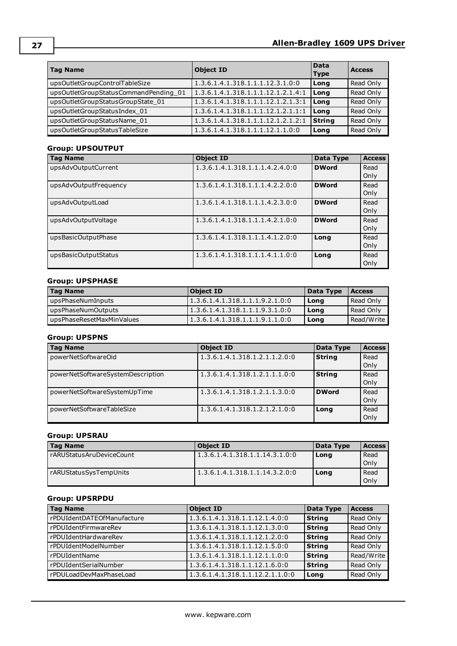| Tag Name                              | <b>Object ID</b>                   | <b>Data</b><br><b>Type</b> | <b>Access</b> |
|---------------------------------------|------------------------------------|----------------------------|---------------|
| upsOutletGroupControlTableSize        | 1.3.6.1.4.1.318.1.1.1.12.3.1.0:0   | Long                       | Read Only     |
| upsOutletGroupStatusCommandPending_01 | 1.3.6.1.4.1.318.1.1.1.12.1.2.1.4:1 | Long                       | Read Only     |
| upsOutletGroupStatusGroupState_01     | 1.3.6.1.4.1.318.1.1.1.12.1.2.1.3:1 | Long                       | Read Only     |
| upsOutletGroupStatusIndex_01          | 1.3.6.1.4.1.318.1.1.1.12.1.2.1.1:1 | Long                       | Read Only     |
| upsOutletGroupStatusName_01           | 1.3.6.1.4.1.318.1.1.1.12.1.2.1.2:1 | <b>String</b>              | Read Only     |
| upsOutletGroupStatusTableSize         | 1.3.6.1.4.1.318.1.1.1.12.1.1.0:0   | Long                       | Read Only     |

## **Group: UPSOUTPUT**

| <b>Tag Name</b>       | <b>Object ID</b>                | Data Type    | <b>Access</b> |
|-----------------------|---------------------------------|--------------|---------------|
| upsAdvOutputCurrent   | 1.3.6.1.4.1.318.1.1.1.4.2.4.0:0 | <b>DWord</b> | Read          |
|                       |                                 |              | Only          |
| upsAdvOutputFrequency | 1.3.6.1.4.1.318.1.1.1.4.2.2.0:0 | <b>DWord</b> | Read          |
|                       |                                 |              | Only          |
| upsAdvOutputLoad      | 1.3.6.1.4.1.318.1.1.1.4.2.3.0:0 | <b>DWord</b> | Read          |
|                       |                                 |              | Only          |
| upsAdvOutputVoltage   | 1.3.6.1.4.1.318.1.1.1.4.2.1.0:0 | <b>DWord</b> | Read          |
|                       |                                 |              | Only          |
| upsBasicOutputPhase   | 1.3.6.1.4.1.318.1.1.1.4.1.2.0:0 | Long         | Read          |
|                       |                                 |              | Only          |
| upsBasicOutputStatus  | 1.3.6.1.4.1.318.1.1.1.4.1.1.0:0 | Long         | Read          |
|                       |                                 |              | Only          |

### **Group: UPSPHASE**

| <b>Tag Name</b>           | Object ID                        | Data Type | <b>Access</b> |
|---------------------------|----------------------------------|-----------|---------------|
| upsPhaseNumInputs         | 1.3.6.1.4.1.318.1.1.1.9.2.1.0:0  | Long      | Read Only     |
| upsPhaseNumOutputs        | 1.3.6.1.4.1.318.1.1.1.9.3.1.0:0  | Long      | Read Only     |
| upsPhaseResetMaxMinValues | 11.3.6.1.4.1.318.1.1.1.9.1.1.0:0 | Long      | Read/Write    |

## **Group: UPSPNS**

| <b>Tag Name</b>                   | <b>Object ID</b>              | Data Type     | <b>Access</b> |
|-----------------------------------|-------------------------------|---------------|---------------|
| powerNetSoftwareOid               | 1.3.6.1.4.1.318.1.2.1.1.2.0:0 | <b>String</b> | Read          |
|                                   |                               |               | Only          |
| powerNetSoftwareSystemDescription | 1.3.6.1.4.1.318.1.2.1.1.1.0:0 | <b>String</b> | Read          |
|                                   |                               |               | Only          |
| powerNetSoftwareSystemUpTime      | 1.3.6.1.4.1.318.1.2.1.1.3.0:0 | <b>DWord</b>  | Read          |
|                                   |                               |               | Only          |
| powerNetSoftwareTableSize         | 1.3.6.1.4.1.318.1.2.1.2.1.0:0 | Long          | Read          |
|                                   |                               |               | Only          |

### **Group: UPSRAU**

| <b>Tag Name</b>          | Object ID                      | Data Type | <b>Access</b> |
|--------------------------|--------------------------------|-----------|---------------|
| rARUStatusAruDeviceCount | 1.3.6.1.4.1.318.1.1.14.3.1.0:0 | Long      | Read          |
|                          |                                |           | Only          |
| rARUStatusSysTempUnits   | 1.3.6.1.4.1.318.1.1.14.3.2.0:0 | Long      | Read          |
|                          |                                |           | Only          |

## **Group: UPSRPDU**

| <b>Tag Name</b>            | <b>Object ID</b>                 | Data Type     | <b>Access</b> |
|----------------------------|----------------------------------|---------------|---------------|
| rPDUIdentDATEOfManufacture | 1.3.6.1.4.1.318.1.1.12.1.4.0:0   | <b>String</b> | Read Only     |
| rPDUIdentFirmwareRev       | 1.3.6.1.4.1.318.1.1.12.1.3.0:0   | <b>String</b> | Read Only     |
| rPDUIdentHardwareRev       | 1.3.6.1.4.1.318.1.1.12.1.2.0:0   | <b>String</b> | Read Only     |
| rPDUIdentModelNumber       | 1.3.6.1.4.1.318.1.1.12.1.5.0:0   | <b>String</b> | Read Only     |
| rPDUIdentName              | 1.3.6.1.4.1.318.1.1.12.1.1.0:0   | <b>String</b> | Read/Write    |
| rPDUIdentSerialNumber      | 1.3.6.1.4.1.318.1.1.12.1.6.0:0   | <b>String</b> | Read Only     |
| rPDULoadDevMaxPhaseLoad    | 1.3.6.1.4.1.318.1.1.12.2.1.1.0:0 | Long          | Read Only     |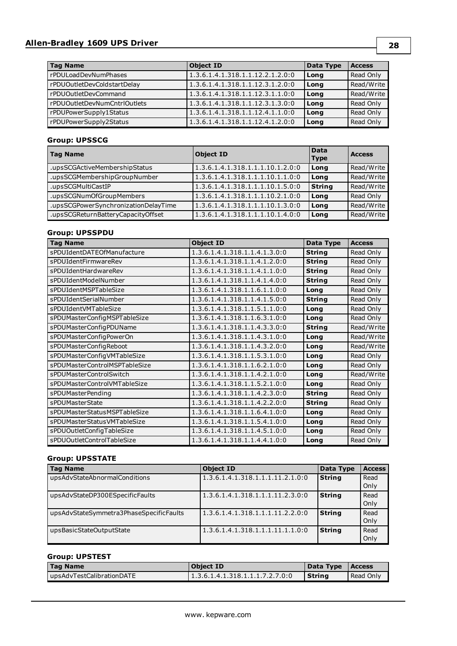## **Allen-Bradley 1609 UPS Driver**

| <b>Tag Name</b>              | <b>Object ID</b>                 | Data Type | <b>Access</b> |
|------------------------------|----------------------------------|-----------|---------------|
| rPDULoadDevNumPhases         | 1.3.6.1.4.1.318.1.1.12.2.1.2.0:0 | Long      | Read Only     |
| rPDUOutletDevColdstartDelay  | 1.3.6.1.4.1.318.1.1.12.3.1.2.0:0 | Long      | Read/Write    |
| rPDUOutletDevCommand         | 1.3.6.1.4.1.318.1.1.12.3.1.1.0:0 | Long      | Read/Write    |
| rPDUOutletDevNumCntrlOutlets | 1.3.6.1.4.1.318.1.1.12.3.1.3.0:0 | Long      | Read Only     |
| rPDUPowerSupply1Status       | 1.3.6.1.4.1.318.1.1.12.4.1.1.0:0 | Long      | Read Only     |
| rPDUPowerSupply2Status       | 1.3.6.1.4.1.318.1.1.12.4.1.2.0:0 | Long      | Read Only     |

## **Group: UPSSCG**

| <b>Tag Name</b>                      | <b>Object ID</b>                 | <b>Data</b><br><b>Type</b> | <b>Access</b> |
|--------------------------------------|----------------------------------|----------------------------|---------------|
| .upsSCGActiveMembershipStatus        | 1.3.6.1.4.1.318.1.1.1.10.1.2.0:0 | Long                       | Read/Write    |
| .upsSCGMembershipGroupNumber         | 1.3.6.1.4.1.318.1.1.1.10.1.1.0:0 | Long                       | Read/Write    |
| .upsSCGMultiCastIP                   | 1.3.6.1.4.1.318.1.1.1.10.1.5.0:0 | <b>String</b>              | Read/Write    |
| .upsSCGNumOfGroupMembers             | 1.3.6.1.4.1.318.1.1.1.10.2.1.0:0 | Long                       | Read Only     |
| .upsSCGPowerSynchronizationDelayTime | 1.3.6.1.4.1.318.1.1.1.10.1.3.0:0 | Long                       | Read/Write    |
| .upsSCGReturnBatteryCapacityOffset   | 1.3.6.1.4.1.318.1.1.1.10.1.4.0:0 | Long                       | Read/Write    |

### **Group: UPSSPDU**

| <b>Tag Name</b>               | <b>Object ID</b>              | Data Type     | <b>Access</b> |
|-------------------------------|-------------------------------|---------------|---------------|
| sPDUIdentDATEOfManufacture    | 1.3.6.1.4.1.318.1.1.4.1.3.0:0 | <b>String</b> | Read Only     |
| sPDUIdentFirmwareRev          | 1.3.6.1.4.1.318.1.1.4.1.2.0:0 | <b>String</b> | Read Only     |
| sPDUIdentHardwareRev          | 1.3.6.1.4.1.318.1.1.4.1.1.0:0 | <b>String</b> | Read Only     |
| sPDUIdentModelNumber          | 1.3.6.1.4.1.318.1.1.4.1.4.0:0 | <b>String</b> | Read Only     |
| sPDUIdentMSPTableSize         | 1.3.6.1.4.1.318.1.1.6.1.1.0:0 | Long          | Read Only     |
| sPDUIdentSerialNumber         | 1.3.6.1.4.1.318.1.1.4.1.5.0:0 | <b>String</b> | Read Only     |
| sPDUIdentVMTableSize          | 1.3.6.1.4.1.318.1.1.5.1.1.0:0 | Long          | Read Only     |
| sPDUMasterConfigMSPTableSize  | 1.3.6.1.4.1.318.1.1.6.3.1.0:0 | Long          | Read Only     |
| sPDUMasterConfigPDUName       | 1.3.6.1.4.1.318.1.1.4.3.3.0:0 | <b>String</b> | Read/Write    |
| sPDUMasterConfigPowerOn       | 1.3.6.1.4.1.318.1.1.4.3.1.0:0 | Long          | Read/Write    |
| sPDUMasterConfigReboot        | 1.3.6.1.4.1.318.1.1.4.3.2.0:0 | Long          | Read/Write    |
| sPDUMasterConfigVMTableSize   | 1.3.6.1.4.1.318.1.1.5.3.1.0:0 | Long          | Read Only     |
| sPDUMasterControlMSPTableSize | 1.3.6.1.4.1.318.1.1.6.2.1.0:0 | Long          | Read Only     |
| sPDUMasterControlSwitch       | 1.3.6.1.4.1.318.1.1.4.2.1.0:0 | Long          | Read/Write    |
| sPDUMasterControlVMTableSize  | 1.3.6.1.4.1.318.1.1.5.2.1.0:0 | Long          | Read Only     |
| sPDUMasterPending             | 1.3.6.1.4.1.318.1.1.4.2.3.0:0 | <b>String</b> | Read Only     |
| sPDUMasterState               | 1.3.6.1.4.1.318.1.1.4.2.2.0:0 | <b>String</b> | Read Only     |
| sPDUMasterStatusMSPTableSize  | 1.3.6.1.4.1.318.1.1.6.4.1.0:0 | Long          | Read Only     |
| sPDUMasterStatusVMTableSize   | 1.3.6.1.4.1.318.1.1.5.4.1.0:0 | Long          | Read Only     |
| sPDUOutletConfigTableSize     | 1.3.6.1.4.1.318.1.1.4.5.1.0:0 | Long          | Read Only     |
| sPDUOutletControlTableSize    | 1.3.6.1.4.1.318.1.1.4.4.1.0:0 | Long          | Read Only     |

## **Group: UPSSTATE**

| <b>Tag Name</b>                         | <b>Object ID</b>                 | Data Type     | <b>Access</b> |
|-----------------------------------------|----------------------------------|---------------|---------------|
| upsAdvStateAbnormalConditions           | 1.3.6.1.4.1.318.1.1.1.11.2.1.0:0 | <b>String</b> | Read          |
|                                         |                                  |               | Only          |
| upsAdvStateDP300ESpecificFaults         | 1.3.6.1.4.1.318.1.1.1.11.2.3.0:0 | <b>String</b> | Read          |
|                                         |                                  |               | Only          |
| upsAdvStateSymmetra3PhaseSpecificFaults | 1.3.6.1.4.1.318.1.1.1.11.2.2.0:0 | <b>String</b> | Read          |
|                                         |                                  |               | Only          |
| upsBasicStateOutputState                | 1.3.6.1.4.1.318.1.1.1.11.1.1.0:0 | <b>String</b> | Read          |
|                                         |                                  |               | Only          |

## **Group: UPSTEST**

| <b>Tag Name</b>           | <b>Object ID</b>                 | Data Type | <b>Access</b> |
|---------------------------|----------------------------------|-----------|---------------|
| upsAdvTestCalibrationDATE | 11.3.6.1.4.1.318.1.1.1.7.2.7.0:0 | l Strina  | Read Only     |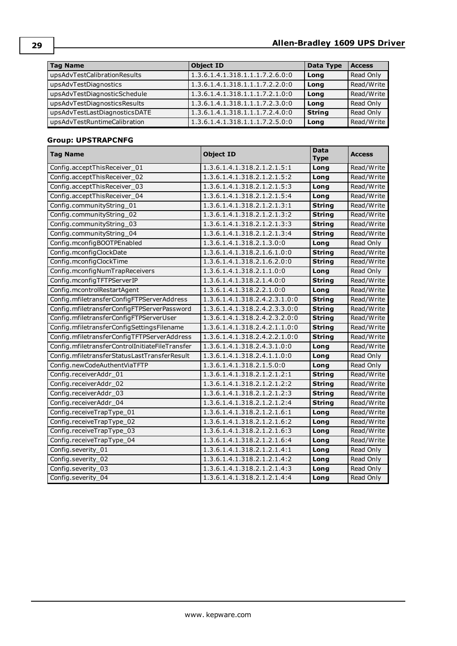| <b>Tag Name</b>               | <b>Object ID</b>                | Data Type     | <b>Access</b> |
|-------------------------------|---------------------------------|---------------|---------------|
| upsAdvTestCalibrationResults  | 1.3.6.1.4.1.318.1.1.1.7.2.6.0:0 | Long          | Read Only     |
| upsAdvTestDiagnostics         | 1.3.6.1.4.1.318.1.1.1.7.2.2.0:0 | Long          | Read/Write    |
| upsAdvTestDiagnosticSchedule  | 1.3.6.1.4.1.318.1.1.1.7.2.1.0:0 | Long          | Read/Write    |
| upsAdvTestDiagnosticsResults  | 1.3.6.1.4.1.318.1.1.1.7.2.3.0:0 | Long          | Read Only     |
| upsAdvTestLastDiagnosticsDATE | 1.3.6.1.4.1.318.1.1.1.7.2.4.0:0 | <b>String</b> | Read Only     |
| upsAdvTestRuntimeCalibration  | 1.3.6.1.4.1.318.1.1.1.7.2.5.0:0 | Long          | Read/Write    |

## **Group: UPSTRAPCNFG**

| <b>Tag Name</b>                                 | <b>Object ID</b>              | <b>Data</b><br><b>Type</b> | <b>Access</b> |
|-------------------------------------------------|-------------------------------|----------------------------|---------------|
| Config.acceptThisReceiver_01                    | 1.3.6.1.4.1.318.2.1.2.1.5:1   | Long                       | Read/Write    |
| Config.acceptThisReceiver_02                    | 1.3.6.1.4.1.318.2.1.2.1.5:2   | Long                       | Read/Write    |
| Config.acceptThisReceiver_03                    | 1.3.6.1.4.1.318.2.1.2.1.5:3   | Long                       | Read/Write    |
| Config.acceptThisReceiver 04                    | 1.3.6.1.4.1.318.2.1.2.1.5:4   | Long                       | Read/Write    |
| Config.communityString_01                       | 1.3.6.1.4.1.318.2.1.2.1.3:1   | <b>String</b>              | Read/Write    |
| Config.communityString_02                       | 1.3.6.1.4.1.318.2.1.2.1.3:2   | <b>String</b>              | Read/Write    |
| Config.communityString 03                       | 1.3.6.1.4.1.318.2.1.2.1.3:3   | <b>String</b>              | Read/Write    |
| Config.communityString_04                       | 1.3.6.1.4.1.318.2.1.2.1.3:4   | <b>String</b>              | Read/Write    |
| Config.mconfigBOOTPEnabled                      | 1.3.6.1.4.1.318.2.1.3.0:0     | Long                       | Read Only     |
| Config.mconfigClockDate                         | 1.3.6.1.4.1.318.2.1.6.1.0:0   | <b>String</b>              | Read/Write    |
| Config.mconfigClockTime                         | 1.3.6.1.4.1.318.2.1.6.2.0:0   | <b>String</b>              | Read/Write    |
| Config.mconfigNumTrapReceivers                  | 1.3.6.1.4.1.318.2.1.1.0:0     | Long                       | Read Only     |
| Config.mconfigTFTPServerIP                      | 1.3.6.1.4.1.318.2.1.4.0:0     | <b>String</b>              | Read/Write    |
| Config.mcontrolRestartAgent                     | 1.3.6.1.4.1.318.2.2.1.0:0     | Long                       | Read/Write    |
| Config.mfiletransferConfigFTPServerAddress      | 1.3.6.1.4.1.318.2.4.2.3.1.0:0 | <b>String</b>              | Read/Write    |
| Config.mfiletransferConfigFTPServerPassword     | 1.3.6.1.4.1.318.2.4.2.3.3.0:0 | <b>String</b>              | Read/Write    |
| Config.mfiletransferConfigFTPServerUser         | 1.3.6.1.4.1.318.2.4.2.3.2.0:0 | <b>String</b>              | Read/Write    |
| Config.mfiletransferConfigSettingsFilename      | 1.3.6.1.4.1.318.2.4.2.1.1.0:0 | <b>String</b>              | Read/Write    |
| Config.mfiletransferConfigTFTPServerAddress     | 1.3.6.1.4.1.318.2.4.2.2.1.0:0 | <b>String</b>              | Read/Write    |
| Config.mfiletransferControlInitiateFileTransfer | 1.3.6.1.4.1.318.2.4.3.1.0:0   | Long                       | Read/Write    |
| Config.mfiletransferStatusLastTransferResult    | 1.3.6.1.4.1.318.2.4.1.1.0:0   | Long                       | Read Only     |
| Config.newCodeAuthentViaTFTP                    | 1.3.6.1.4.1.318.2.1.5.0:0     | Long                       | Read Only     |
| Config.receiverAddr_01                          | 1.3.6.1.4.1.318.2.1.2.1.2:1   | <b>String</b>              | Read/Write    |
| Config.receiverAddr 02                          | 1.3.6.1.4.1.318.2.1.2.1.2:2   | <b>String</b>              | Read/Write    |
| Config.receiverAddr_03                          | 1.3.6.1.4.1.318.2.1.2.1.2:3   | <b>String</b>              | Read/Write    |
| Config.receiverAddr 04                          | 1.3.6.1.4.1.318.2.1.2.1.2:4   | <b>String</b>              | Read/Write    |
| Config.receiveTrapType_01                       | 1.3.6.1.4.1.318.2.1.2.1.6:1   | Long                       | Read/Write    |
| Config.receiveTrapType_02                       | 1.3.6.1.4.1.318.2.1.2.1.6:2   | Long                       | Read/Write    |
| Config.receiveTrapType_03                       | 1.3.6.1.4.1.318.2.1.2.1.6:3   | Long                       | Read/Write    |
| Config.receiveTrapType_04                       | 1.3.6.1.4.1.318.2.1.2.1.6:4   | Long                       | Read/Write    |
| Config.severity_01                              | 1.3.6.1.4.1.318.2.1.2.1.4:1   | Long                       | Read Only     |
| Config.severity_02                              | 1.3.6.1.4.1.318.2.1.2.1.4:2   | Long                       | Read Only     |
| Config.severity 03                              | 1.3.6.1.4.1.318.2.1.2.1.4:3   | Long                       | Read Only     |
| Config.severity_04                              | 1.3.6.1.4.1.318.2.1.2.1.4:4   | Long                       | Read Only     |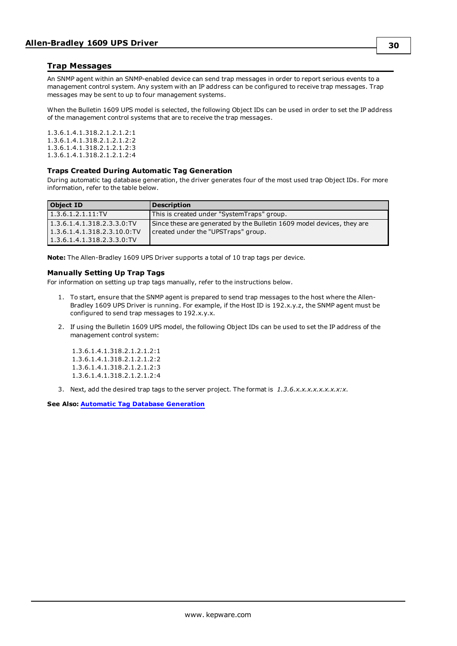### <span id="page-29-0"></span>**Trap Messages**

An SNMP agent within an SNMP-enabled device can send trap messages in order to report serious events to a management control system. Any system with an IP address can be configured to receive trap messages. Trap messages may be sent to up to four management systems.

When the Bulletin 1609 UPS model is selected, the following Object IDs can be used in order to set the IP address of the management control systems that are to receive the trap messages.

1.3.6.1.4.1.318.2.1.2.1.2:1 1.3.6.1.4.1.318.2.1.2.1.2:2 1.3.6.1.4.1.318.2.1.2.1.2:3 1.3.6.1.4.1.318.2.1.2.1.2:4

#### <span id="page-29-1"></span>**Traps Created During Automatic Tag Generation**

During automatic tag database generation, the driver generates four of the most used trap Object IDs. For more information, refer to the table below.

| Object ID                     | <b>Description</b>                                                     |
|-------------------------------|------------------------------------------------------------------------|
| 1.3.6.1.2.1.11:TV             | This is created under "SystemTraps" group.                             |
| $1,3,6,1,4,1,318,2,3,3,0$ :TV | Since these are generated by the Bulletin 1609 model devices, they are |
| 1.3.6.1.4.1.318.2.3.10.0:TV   | created under the "UPSTraps" group.                                    |
| 1.3.6.1.4.1.318.2.3.3.0:TV    |                                                                        |

**Note:** The Allen-Bradley 1609 UPS Driver supports a total of 10 trap tags per device.

#### **Manually Setting Up Trap Tags**

For information on setting up trap tags manually, refer to the instructions below.

- 1. To start, ensure that the SNMP agent is prepared to send trap messages to the host where the Allen-Bradley 1609 UPS Driver is running. For example, if the Host ID is 192.x.y.z, the SNMP agent must be configured to send trap messages to 192.x.y.x.
- 2. If using the Bulletin 1609 UPS model, the following Object IDs can be used to set the IP address of the management control system:

1.3.6.1.4.1.318.2.1.2.1.2:1 1.3.6.1.4.1.318.2.1.2.1.2:2 1.3.6.1.4.1.318.2.1.2.1.2:3 1.3.6.1.4.1.318.2.1.2.1.2:4

3. Next, add the desired trap tags to the server project. The format is *1.3.6.x.x.x.x.x.x.x.x:x*.

**See Also: Automatic Tag Database [Generation](#page-8-0)**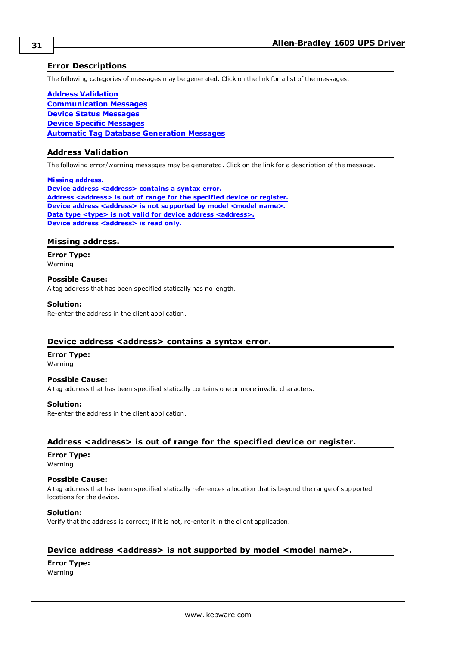## <span id="page-30-0"></span>**Error Descriptions**

The following categories of messages may be generated. Click on the link for a list of the messages.

**Address [Validation](#page-30-1) [Communication](#page-31-2) Messages Device Status [Messages](#page-32-0) Device Specific [Messages](#page-32-3) Automatic Tag Database [Generation](#page-36-0) Messages**

#### <span id="page-30-1"></span>**Address Validation**

The following error/warning messages may be generated. Click on the link for a description of the message.

**Missing [address.](#page-30-2)**

**Device address [<address>](#page-30-3)** contains a syntax error. **Address [<address>](#page-30-4) is out of range for the specified device or register. Device** address [<address>](#page-30-5) is not supported by model <model name>. **Data type <type> is not valid for device address [<address>.](#page-31-0) Device address [<address>](#page-31-1)** is read only.

#### <span id="page-30-2"></span>**Missing address.**

**Error Type:** Warning

**Possible Cause:**

A tag address that has been specified statically has no length.

#### **Solution:**

Re-enter the address in the client application.

#### <span id="page-30-3"></span>**Device address <address> contains a syntax error.**

## **Error Type:**

Warning

**Possible Cause:** A tag address that has been specified statically contains one or more invalid characters.

#### **Solution:**

Re-enter the address in the client application.

#### <span id="page-30-4"></span>**Address <address> is out of range for the specified device or register.**

## **Error Type:**

Warning

#### **Possible Cause:**

A tag address that has been specified statically references a location that is beyond the range of supported locations for the device.

#### **Solution:**

Verify that the address is correct; if it is not, re-enter it in the client application.

## <span id="page-30-5"></span>**Device address <address> is not supported by model <model name>.**

**Error Type:** Warning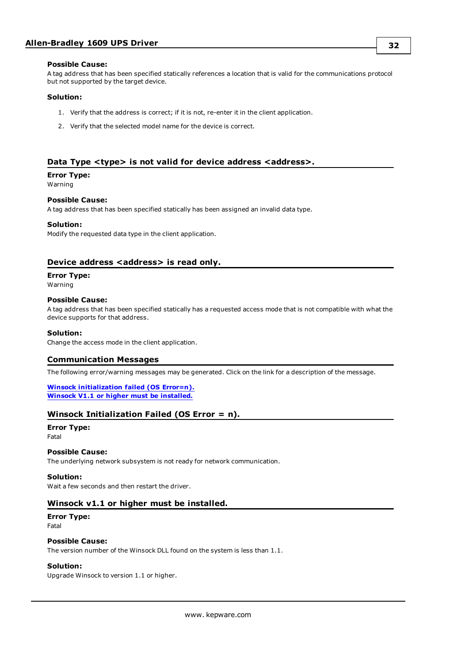#### **Possible Cause:**

A tag address that has been specified statically references a location that is valid for the communications protocol but not supported by the target device.

#### **Solution:**

- 1. Verify that the address is correct; if it is not, re-enter it in the client application.
- 2. Verify that the selected model name for the device is correct.

### <span id="page-31-0"></span>**Data Type <type> is not valid for device address <address>.**

## **Error Type:**

Warning

#### **Possible Cause:**

A tag address that has been specified statically has been assigned an invalid data type.

#### **Solution:**

Modify the requested data type in the client application.

### <span id="page-31-1"></span>**Device address <address> is read only.**

#### **Error Type:**

Warning

#### **Possible Cause:**

A tag address that has been specified statically has a requested access mode that is not compatible with what the device supports for that address.

#### **Solution:**

<span id="page-31-2"></span>Change the access mode in the client application.

### **Communication Messages**

The following error/warning messages may be generated. Click on the link for a description of the message.

#### **Winsock [initialization](#page-31-3) failed (OS Error=n). Winsock V1.1 or higher must be [installed.](#page-31-4)**

## <span id="page-31-3"></span>**Winsock Initialization Failed (OS Error = n).**

#### **Error Type:** Fatal

#### **Possible Cause:**

The underlying network subsystem is not ready for network communication.

#### **Solution:**

<span id="page-31-4"></span>Wait a few seconds and then restart the driver.

#### **Winsock v1.1 or higher must be installed.**

## **Error Type:**

Fatal

#### **Possible Cause:**

The version number of the Winsock DLL found on the system is less than 1.1.

#### **Solution:**

Upgrade Winsock to version 1.1 or higher.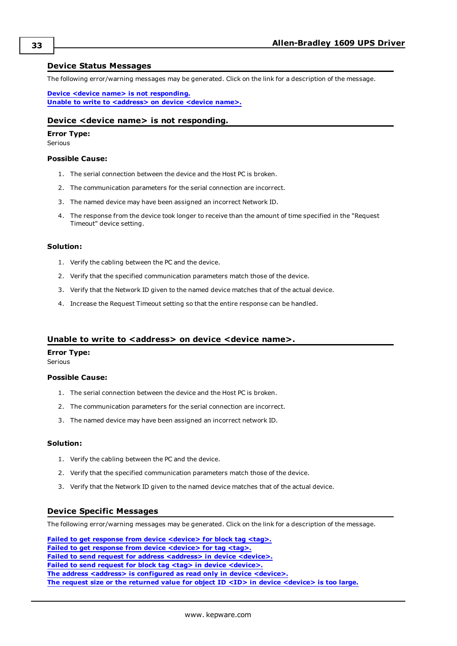#### <span id="page-32-0"></span>**Device Status Messages**

The following error/warning messages may be generated. Click on the link for a description of the message.

**Device <device name> is not [responding.](#page-32-1) Unable to write to [<address>](#page-32-2) on device <device name>.**

#### <span id="page-32-1"></span>**Device <device name> is not responding.**

## **Error Type:**

Serious

#### **Possible Cause:**

- 1. The serial connection between the device and the Host PC is broken.
- 2. The communication parameters for the serial connection are incorrect.
- 3. The named device may have been assigned an incorrect Network ID.
- 4. The response from the device took longer to receive than the amount of time specified in the "Request Timeout" device setting.

#### **Solution:**

- 1. Verify the cabling between the PC and the device.
- 2. Verify that the specified communication parameters match those of the device.
- 3. Verify that the Network ID given to the named device matches that of the actual device.
- 4. Increase the Request Timeout setting so that the entire response can be handled.

#### <span id="page-32-2"></span>**Unable to write to <address> on device <device name>.**

#### **Error Type:**

Serious

#### **Possible Cause:**

- 1. The serial connection between the device and the Host PC is broken.
- 2. The communication parameters for the serial connection are incorrect.
- 3. The named device may have been assigned an incorrect network ID.

#### **Solution:**

- 1. Verify the cabling between the PC and the device.
- 2. Verify that the specified communication parameters match those of the device.
- 3. Verify that the Network ID given to the named device matches that of the actual device.

#### <span id="page-32-3"></span>**Device Specific Messages**

The following error/warning messages may be generated. Click on the link for a description of the message.

**Failed to get response from device [<device>](#page-33-0) for block tag <tag>. Failed to get response from device [<device>](#page-33-1) for tag <tag>. Failed to send request for address [<address>](#page-33-2) in device <device>. Failed to send request for block tag <tag> in device [<device>.](#page-34-0) The address <address> is [configured](#page-34-1) as read only in device <device>. The request size or the returned value for object ID <ID> in device [<device>](#page-34-2) is too large.**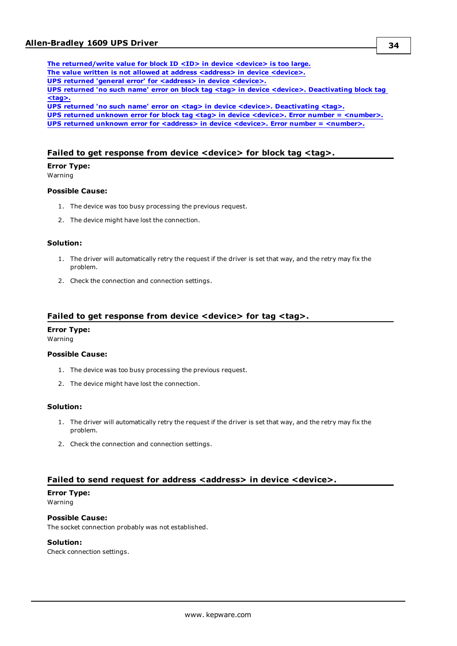**The [returned/write](#page-34-3) value for block ID <ID> in device <device> is too large. The value written is not allowed at address [<address>](#page-34-4) in device <device>. UPS returned 'general error' for [<address>](#page-35-0) in device <device>. UPS returned 'no such name' error on block tag <tag> in device <device>. [Deactivating](#page-35-1) block tag [<tag>.](#page-35-1) UPS returned 'no such name' error on <tag> in device <device>. [Deactivating](#page-35-2) <tag>. UPS returned unknown error for block tag <tag> in device <device>. Error number = [<number>.](#page-35-3) UPS returned unknown error for <address> in device <device>. Error number = [<number>.](#page-35-4)**

## <span id="page-33-0"></span>**Failed to get response from device <device> for block tag <tag>.**

#### **Error Type:**

Warning

#### **Possible Cause:**

- 1. The device was too busy processing the previous request.
- 2. The device might have lost the connection.

#### **Solution:**

- 1. The driver will automatically retry the request if the driver is set that way, and the retry may fix the problem.
- 2. Check the connection and connection settings.

#### <span id="page-33-1"></span>**Failed to get response from device <device> for tag <tag>.**

#### **Error Type:**

Warning

#### **Possible Cause:**

- 1. The device was too busy processing the previous request.
- 2. The device might have lost the connection.

#### **Solution:**

- 1. The driver will automatically retry the request if the driver is set that way, and the retry may fix the problem.
- 2. Check the connection and connection settings.

### <span id="page-33-2"></span>**Failed to send request for address <address> in device <device>.**

## **Error Type:**

Warning

## **Possible Cause:**

The socket connection probably was not established.

#### **Solution:**

Check connection settings.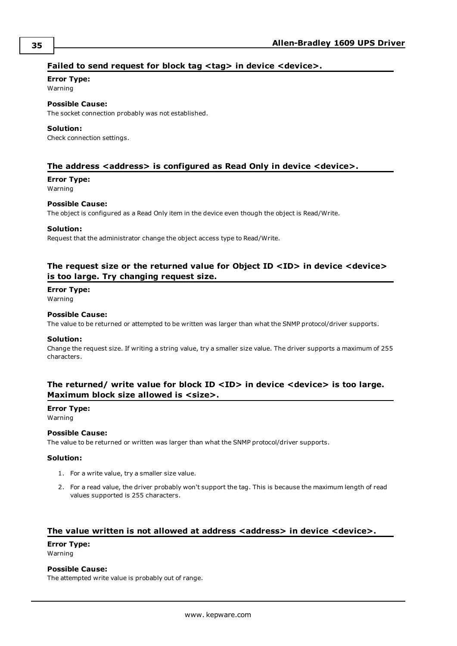## <span id="page-34-0"></span>**Failed to send request for block tag <tag> in device <device>.**

## **Error Type:**

Warning

## **Possible Cause:**

The socket connection probably was not established.

#### **Solution:**

Check connection settings.

### <span id="page-34-1"></span>**The address <address> is configured as Read Only in device <device>.**

#### **Error Type:**

Warning

#### **Possible Cause:**

The object is configured as a Read Only item in the device even though the object is Read/Write.

#### **Solution:**

Request that the administrator change the object access type to Read/Write.

## <span id="page-34-2"></span>**The request size or the returned value for Object ID <ID> in device <device> is too large. Try changing request size.**

#### **Error Type:**

Warning

#### **Possible Cause:**

The value to be returned or attempted to be written was larger than what the SNMP protocol/driver supports.

#### **Solution:**

Change the request size. If writing a string value, try a smaller size value. The driver supports a maximum of 255 characters.

## <span id="page-34-3"></span>**The returned/ write value for block ID <ID> in device <device> is too large. Maximum block size allowed is <size>.**

#### **Error Type:**

Warning

#### **Possible Cause:**

The value to be returned or written was larger than what the SNMP protocol/driver supports.

#### **Solution:**

- 1. For a write value, try a smaller size value.
- 2. For a read value, the driver probably won't support the tag. This is because the maximum length of read values supported is 255 characters.

## <span id="page-34-4"></span>**The value written is not allowed at address <address> in device <device>.**

**Error Type:**

Warning

### **Possible Cause:**

The attempted write value is probably out of range.

**35**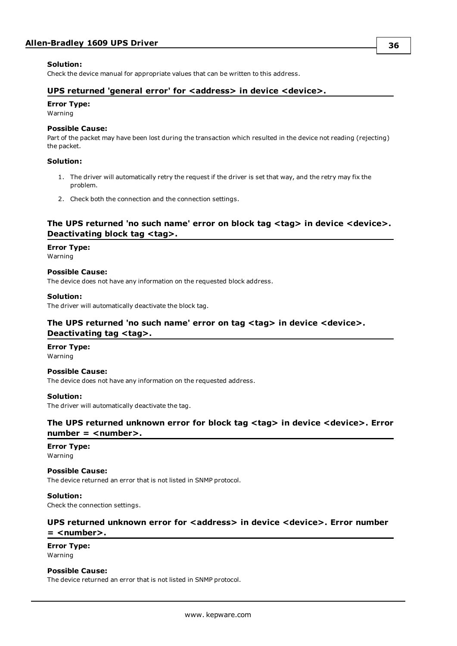#### **Solution:**

<span id="page-35-0"></span>Check the device manual for appropriate values that can be written to this address.

### **UPS returned 'general error' for <address> in device <device>.**

#### **Error Type:**

Warning

#### **Possible Cause:**

Part of the packet may have been lost during the transaction which resulted in the device not reading (rejecting) the packet.

#### **Solution:**

- 1. The driver will automatically retry the request if the driver is set that way, and the retry may fix the problem.
- 2. Check both the connection and the connection settings.

## <span id="page-35-1"></span>**The UPS returned 'no such name' error on block tag <tag> in device <device>. Deactivating block tag <tag>.**

#### **Error Type:**

Warning

**Possible Cause:** The device does not have any information on the requested block address.

#### **Solution:**

<span id="page-35-2"></span>The driver will automatically deactivate the block tag.

## **The UPS returned 'no such name' error on tag <tag> in device <device>. Deactivating tag <tag>.**

## **Error Type:**

Warning

#### **Possible Cause:**

The device does not have any information on the requested address.

#### **Solution:**

<span id="page-35-3"></span>The driver will automatically deactivate the tag.

## **The UPS returned unknown error for block tag <tag> in device <device>. Error**  $number =$  <number>.

## **Error Type:**

Warning

### **Possible Cause:**

The device returned an error that is not listed in SNMP protocol.

#### **Solution:**

<span id="page-35-4"></span>Check the connection settings.

## **UPS returned unknown error for <address> in device <device>. Error number = <number>.**

#### **Error Type:** Warning

#### **Possible Cause:**

The device returned an error that is not listed in SNMP protocol.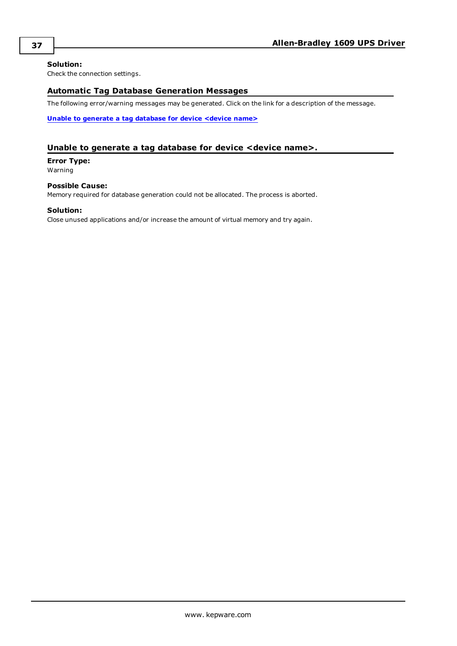### **Solution:**

<span id="page-36-0"></span>Check the connection settings.

## **Automatic Tag Database Generation Messages**

The following error/warning messages may be generated. Click on the link for a description of the message.

**Unable to [generate](#page-36-1) a tag database for device <device name>**

### <span id="page-36-1"></span>**Unable to generate a tag database for device <device name>.**

**Error Type:** Warning

#### **Possible Cause:** Memory required for database generation could not be allocated. The process is aborted.

#### **Solution:**

Close unused applications and/or increase the amount of virtual memory and try again.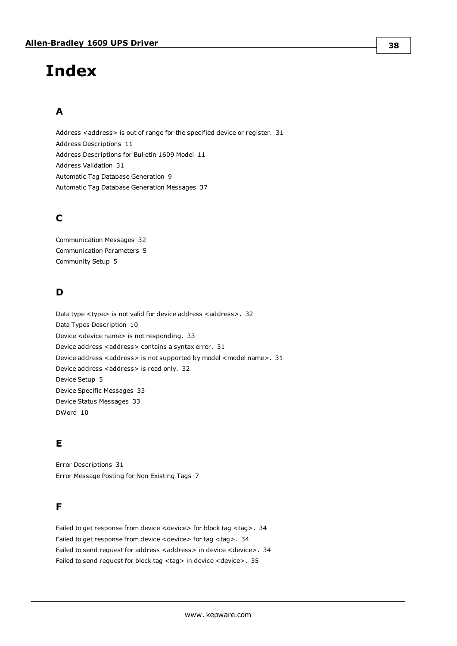# <span id="page-37-0"></span>**Index**

## **A**

Address <address> is out of range for the specified device or register. [31](#page-30-4) Address Descriptions [11](#page-10-0) Address Descriptions for Bulletin 1609 Model [11](#page-10-1) Address Validation [31](#page-30-1) Automatic Tag Database Generation [9](#page-8-0) Automatic Tag Database Generation Messages [37](#page-36-0)

## **C**

Communication Messages [32](#page-31-2) Communication Parameters [5](#page-4-1) Community Setup [5](#page-4-2)

## **D**

Data type <type> is not valid for device address <address>. [32](#page-31-0) Data Types Description [10](#page-9-0) Device <device name> is not responding. [33](#page-32-1) Device address <address> contains a syntax error. [31](#page-30-3) Device address <address> is not supported by model <model name>. [31](#page-30-5) Device address <address> is read only. [32](#page-31-1) Device Setup [5](#page-4-0) Device Specific Messages [33](#page-32-3) Device Status Messages [33](#page-32-0) DWord [10](#page-9-1)

## **E**

Error Descriptions [31](#page-30-0) Error Message Posting for Non Existing Tags [7](#page-6-0)

## **F**

Failed to get response from device < device> for block tag < tag>. [34](#page-33-0) Failed to get response from device <device> for tag <tag>. [34](#page-33-1) Failed to send request for address <address> in device <device>. [34](#page-33-2) Failed to send request for block tag <tag> in device <device>. [35](#page-34-0)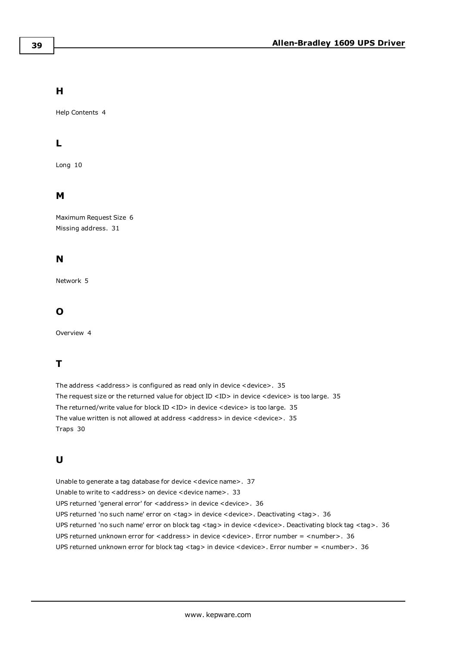## **H**

Help Contents [4](#page-3-0)

## **L**

Long [10](#page-9-2)

## **M**

Maximum Request Size [6](#page-5-0) Missing address. [31](#page-30-2)

## **N**

Network [5](#page-4-3)

## **O**

Overview [4](#page-3-1)

## **T**

The address <address> is configured as read only in device <device>. [35](#page-34-1) The request size or the returned value for object ID  $\langle$  ID  $\rangle$  in device  $\langle$  device  $\rangle$  is too large. [35](#page-34-2) The returned/write value for block ID <ID> in device <device> is too large. [35](#page-34-3) The value written is not allowed at address <address> in device <device>. [35](#page-34-4) Traps [30](#page-29-1)

## **U**

Unable to generate a tag database for device <device name>. [37](#page-36-1) Unable to write to <address> on device <device name>. [33](#page-32-2) UPS returned 'general error' for <address> in device <device>. [36](#page-35-0) UPS returned 'no such name' error on <tag> in device <device>. Deactivating <tag>. [36](#page-35-2) UPS returned 'no such name' error on block tag <tag> in device <device>. Deactivating block tag <tag>. [36](#page-35-1) UPS returned unknown error for <address> in device <device>. Error number = <number>. [36](#page-35-4) UPS returned unknown error for block tag <tag> in device <device>. Error number = <number>. [36](#page-35-3)